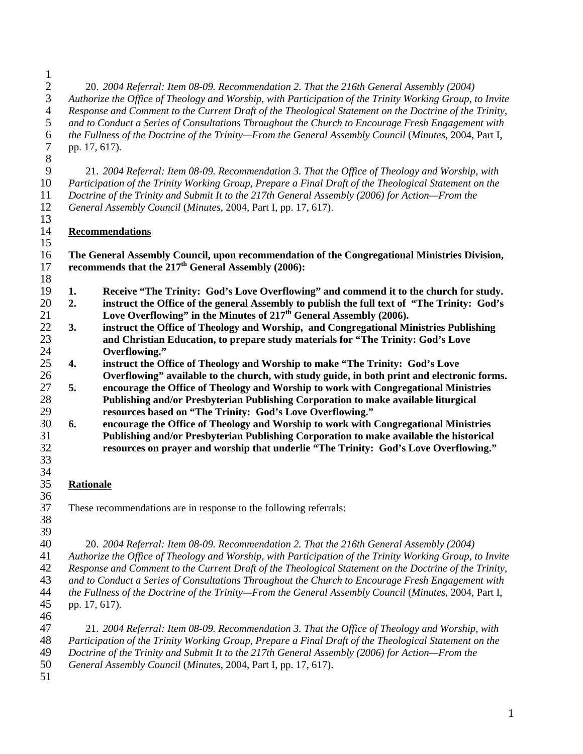$\frac{1}{2}$ 2 20. *2004 Referral: Item 08-09. Recommendation 2. That the 216th General Assembly (2004) Authorize the Office of Theology and Worship, with Participation of the Trinity Working Group, to Invite Response and Comment to the Current Draft of the Theological Statement on the Doctrine of the Trinity, and to Conduct a Series of Consultations Throughout the Church to Encourage Fresh Engagement with the Fullness of the Doctrine of the Trinity—From the General Assembly Council* (*Minutes*, 2004, Part I, 7 pp. 17, 617)*.* 

 9 21. *2004 Referral: Item 08-09. Recommendation 3. That the Office of Theology and Worship, with Participation of the Trinity Working Group, Prepare a Final Draft of the Theological Statement on the Doctrine of the Trinity and Submit It to the 217th General Assembly (2006) for Action—From the General Assembly Council* (*Minutes*, 2004, Part I, pp. 17, 617).

**Recommendations**

 **The General Assembly Council, upon recommendation of the Congregational Ministries Division,**  17 **recommends that the 217<sup>th</sup> General Assembly (2006):** 

- **1. Receive "The Trinity: God's Love Overflowing" and commend it to the church for study.**
- **2. instruct the Office of the general Assembly to publish the full text of "The Trinity: God's Love Overflowing" in the Minutes of 217<sup>th</sup> General Assembly (2006).**
- **3. instruct the Office of Theology and Worship, and Congregational Ministries Publishing and Christian Education, to prepare study materials for "The Trinity: God's Love Overflowing."**
- **4. instruct the Office of Theology and Worship to make "The Trinity: God's Love Overflowing" available to the church, with study guide, in both print and electronic forms.**
- **5. encourage the Office of Theology and Worship to work with Congregational Ministries Publishing and/or Presbyterian Publishing Corporation to make available liturgical resources based on "The Trinity: God's Love Overflowing."**
- **6. encourage the Office of Theology and Worship to work with Congregational Ministries Publishing and/or Presbyterian Publishing Corporation to make available the historical resources on prayer and worship that underlie "The Trinity: God's Love Overflowing."**
- **Rationale**
- 37 These recommendations are in response to the following referrals:
- 

 

40 20. *2004 Referral: Item 08-09. Recommendation 2. That the 216th General Assembly (2004)* 

*Authorize the Office of Theology and Worship, with Participation of the Trinity Working Group, to Invite Response and Comment to the Current Draft of the Theological Statement on the Doctrine of the Trinity,* 

*and to Conduct a Series of Consultations Throughout the Church to Encourage Fresh Engagement with* 

*the Fullness of the Doctrine of the Trinity—From the General Assembly Council* (*Minutes*, 2004, Part I, 45 pp. 17, 617)*.* 

46<br>47 47 21. *2004 Referral: Item 08-09. Recommendation 3. That the Office of Theology and Worship, with Participation of the Trinity Working Group, Prepare a Final Draft of the Theological Statement on the Doctrine of the Trinity and Submit It to the 217th General Assembly (2006) for Action—From the* 

- *General Assembly Council* (*Minutes*, 2004, Part I, pp. 17, 617).
-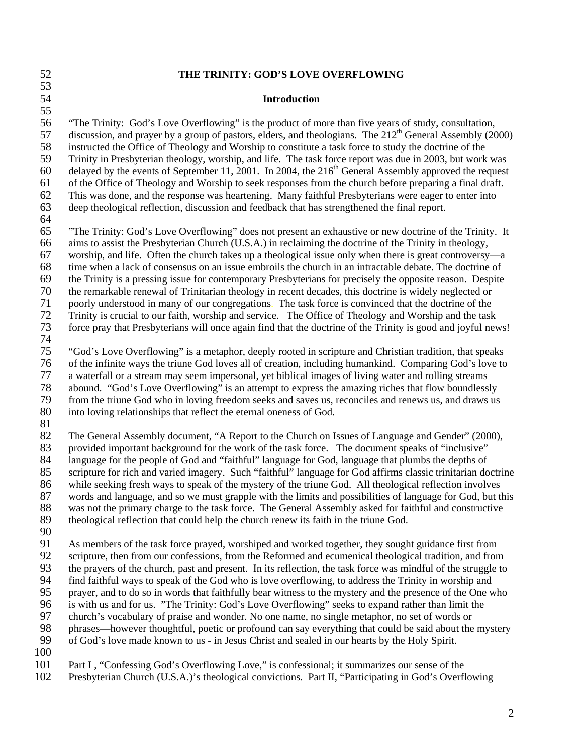#### 52 **THE TRINITY: GOD'S LOVE OVERFLOWING**  53 54 **Introduction**  55 56 "The Trinity: God's Love Overflowing" is the product of more than five years of study, consultation, 57 discussion, and prayer by a group of pastors, elders, and theologians. The  $212<sup>th</sup>$  General Assembly (2000) 58 instructed the Office of Theology and Worship to constitute a task force to study the doctrine of the 59 Trinity in Presbyterian theology, worship, and life. The task force report was due in 2003, but work was 60 delayed by the events of September 11, 2001. In 2004, the  $216<sup>th</sup>$  General Assembly approved the request 61 of the Office of Theology and Worship to seek responses from the church before preparing a final draft. 62 This was done, and the response was heartening. Many faithful Presbyterians were eager to enter into 63 deep theological reflection, discussion and feedback that has strengthened the final report. 64 65 "The Trinity: God's Love Overflowing" does not present an exhaustive or new doctrine of the Trinity. It 66 aims to assist the Presbyterian Church (U.S.A.) in reclaiming the doctrine of the Trinity in theology, 67 worship, and life. Often the church takes up a theological issue only when there is great controversy—a 68 time when a lack of consensus on an issue embroils the church in an intractable debate. The doctrine of 69 the Trinity is a pressing issue for contemporary Presbyterians for precisely the opposite reason. Despite 70 the remarkable renewal of Trinitarian theology in recent decades, this doctrine is widely neglected or 71 poorly understood in many of our congregations. The task force is convinced that the doctrine of the<br>72 Trinity is crucial to our faith, worship and service. The Office of Theology and Worship and the task 72 Trinity is crucial to our faith, worship and service. The Office of Theology and Worship and the task 73 force pray that Presbyterians will once again find that the doctrine of the Trinity is good and joyful news! 74<br>75 75 "God's Love Overflowing" is a metaphor, deeply rooted in scripture and Christian tradition, that speaks 76 of the infinite ways the triune God loves all of creation, including humankind. Comparing God's love to 77 a waterfall or a stream may seem impersonal, yet biblical images of living water and rolling streams 78 abound. "God's Love Overflowing" is an attempt to express the amazing riches that flow boundlessly 79 from the triune God who in loving freedom seeks and saves us, reconciles and renews us, and draws us 80 into loving relationships that reflect the eternal oneness of God. 81 82 The General Assembly document, "A Report to the Church on Issues of Language and Gender" (2000), 83 provided important background for the work of the task force. The document speaks of "inclusive" 84 language for the people of God and "faithful" language for God, language that plumbs the depths of<br>85 scripture for rich and varied imagery. Such "faithful" language for God affirms classic trinitarian do scripture for rich and varied imagery. Such "faithful" language for God affirms classic trinitarian doctrine 86 while seeking fresh ways to speak of the mystery of the triune God. All theological reflection involves 87 words and language, and so we must grapple with the limits and possibilities of language for God, but this 88 was not the primary charge to the task force. The General Assembly asked for faithful and constructive 89 theological reflection that could help the church renew its faith in the triune God. 90 91 As members of the task force prayed, worshiped and worked together, they sought guidance first from 92 scripture, then from our confessions, from the Reformed and ecumenical theological tradition, and from 93 the prayers of the church, past and present. In its reflection, the task force was mindful of the struggle to 94 find faithful ways to speak of the God who is love overflowing, to address the Trinity in worship and 95 prayer, and to do so in words that faithfully bear witness to the mystery and the presence of the One who 96 is with us and for us. "The Trinity: God's Love Overflowing" seeks to expand rather than limit the 97 church's vocabulary of praise and wonder. No one name, no single metaphor, no set of words or<br>98 phrases—however thoughtful, poetic or profound can say everything that could be said about the 98 phrases—however thoughtful, poetic or profound can say everything that could be said about the mystery<br>99 of God's love made known to us - in Jesus Christ and sealed in our hearts by the Holy Spirit. 99 of God's love made known to us - in Jesus Christ and sealed in our hearts by the Holy Spirit. 100 101 Part I, "Confessing God's Overflowing Love," is confessional; it summarizes our sense of the 102 Presbyterian Church (U.S.A.)'s theological convictions. Part II, "Participating in God's Overflowing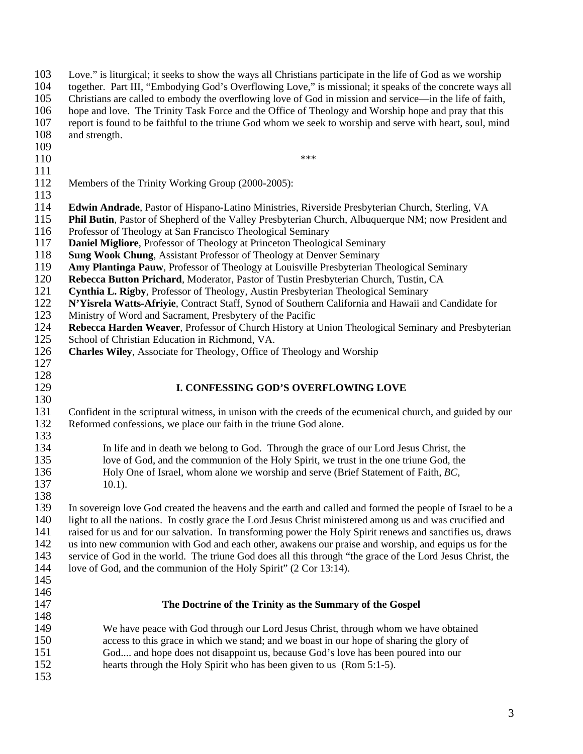103 Love." is liturgical; it seeks to show the ways all Christians participate in the life of God as we worship 104 together. Part III, "Embodying God's Overflowing Love," is missional; it speaks of the concrete ways all 105 Christians are called to embody the overflowing love of God in mission and service—in the life of faith, 106 hope and love. The Trinity Task Force and the Office of Theology and Worship hope and pray that this 107 report is found to be faithful to the triune God whom we seek to worship and serve with heart, soul, mind 108 and strength. 109  $110$  \*\*\* 111 112 Members of the Trinity Working Group (2000-2005): 113 114 **Edwin Andrade**, Pastor of Hispano-Latino Ministries, Riverside Presbyterian Church, Sterling, VA 115 **Phil Butin**, Pastor of Shepherd of the Valley Presbyterian Church, Albuquerque NM; now President and 116 Professor of Theology at San Francisco Theological Seminary 117 **Daniel Migliore**, Professor of Theology at Princeton Theological Seminary 118 **Sung Wook Chung**, Assistant Professor of Theology at Denver Seminary 119 **Amy Plantinga Pauw**, Professor of Theology at Louisville Presbyterian Theological Seminary 120 **Rebecca Button Prichard**, Moderator, Pastor of Tustin Presbyterian Church, Tustin, CA 121 **Cynthia L. Rigby**, Professor of Theology, Austin Presbyterian Theological Seminary 122 **N'Yisrela Watts-Afriyie**, Contract Staff, Synod of Southern California and Hawaii and Candidate for Ministry of Word and Sacrament. Presbytery of the Pacific Ministry of Word and Sacrament, Presbytery of the Pacific 124 **Rebecca Harden Weaver**, Professor of Church History at Union Theological Seminary and Presbyterian 125 School of Christian Education in Richmond, VA. 126 **Charles Wiley**, Associate for Theology, Office of Theology and Worship 127 128<br>129 **I. CONFESSING GOD'S OVERFLOWING LOVE** 130 131 Confident in the scriptural witness, in unison with the creeds of the ecumenical church, and guided by our 132 Reformed confessions, we place our faith in the triune God alone. 133 134 In life and in death we belong to God. Through the grace of our Lord Jesus Christ, the 135 love of God, and the communion of the Holy Spirit, we trust in the one triune God, the 136 Holy One of Israel, whom alone we worship and serve (Brief Statement of Faith, *BC*, 136 Holy One of Israel, whom alone we worship and serve (Brief Statement of Faith, *BC,*  137 10.1). 138 139 In sovereign love God created the heavens and the earth and called and formed the people of Israel to be a 140 light to all the nations. In costly grace the Lord Jesus Christ ministered among us and was crucified and 141 raised for us and for our salvation. In transforming power the Holy Spirit renews and sanctifies us, draws 142 us into new communion with God and each other, awakens our praise and worship, and equips us for the 143 service of God in the world. The triune God does all this through "the grace of the Lord Jesus Christ, the 144 love of God, and the communion of the Holy Spirit" (2 Cor 13:14). 145 146 147 **The Doctrine of the Trinity as the Summary of the Gospel**  148 149 We have peace with God through our Lord Jesus Christ, through whom we have obtained 150 access to this grace in which we stand; and we boast in our hope of sharing the glory of 151 God.... and hope does not disappoint us, because God's love has been poured into our 152 hearts through the Holy Spirit who has been given to us (Rom 5:1-5). 153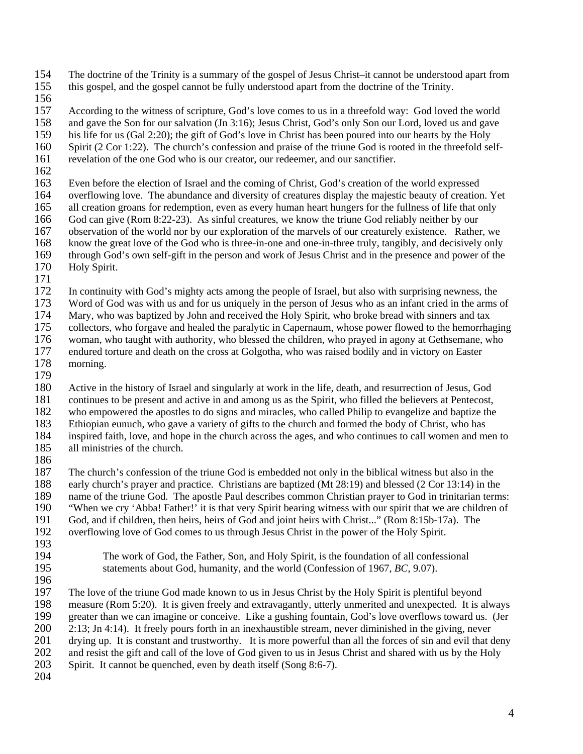- 154 The doctrine of the Trinity is a summary of the gospel of Jesus Christ–it cannot be understood apart from
- 155 this gospel, and the gospel cannot be fully understood apart from the doctrine of the Trinity.
- 156<br>157

According to the witness of scripture, God's love comes to us in a threefold way: God loved the world 158 and gave the Son for our salvation (Jn 3:16); Jesus Christ, God's only Son our Lord, loved us and gave

159 his life for us (Gal 2:20); the gift of God's love in Christ has been poured into our hearts by the Holy

160 Spirit (2 Cor 1:22). The church's confession and praise of the triune God is rooted in the threefold self-

- 161 revelation of the one God who is our creator, our redeemer, and our sanctifier.
- 162

163 Even before the election of Israel and the coming of Christ, God's creation of the world expressed

- 164 overflowing love. The abundance and diversity of creatures display the majestic beauty of creation. Yet
- 165 all creation groans for redemption, even as every human heart hungers for the fullness of life that only

166 God can give (Rom 8:22-23). As sinful creatures, we know the triune God reliably neither by our observation of the world nor by our exploration of the marvels of our creaturely existence. Rather

- 167 observation of the world nor by our exploration of the marvels of our creaturely existence. Rather, we 168 know the great love of the God who is three-in-one and one-in-three truly, tangibly, and decisively only
- 169 through God's own self-gift in the person and work of Jesus Christ and in the presence and power of the
- 170 Holy Spirit.
- 171

172 In continuity with God's mighty acts among the people of Israel, but also with surprising newness, the

173 Word of God was with us and for us uniquely in the person of Jesus who as an infant cried in the arms of

174 Mary, who was baptized by John and received the Holy Spirit, who broke bread with sinners and tax

175 collectors, who forgave and healed the paralytic in Capernaum, whose power flowed to the hemorrhaging

- 176 woman, who taught with authority, who blessed the children, who prayed in agony at Gethsemane, who endured torture and death on the cross at Golgotha, who was raised bodily and in victory on Easter 177 endured torture and death on the cross at Golgotha, who was raised bodily and in victory on Easter
- 178 morning.
- 179

180 Active in the history of Israel and singularly at work in the life, death, and resurrection of Jesus, God

181 continues to be present and active in and among us as the Spirit, who filled the believers at Pentecost,<br>182 who empowered the apostles to do signs and miracles, who called Philip to evangelize and baptize the who empowered the apostles to do signs and miracles, who called Philip to evangelize and baptize the

183 Ethiopian eunuch, who gave a variety of gifts to the church and formed the body of Christ, who has

184 inspired faith, love, and hope in the church across the ages, and who continues to call women and men to

- 185 all ministries of the church.
- 186<br>187

The church's confession of the triune God is embedded not only in the biblical witness but also in the 188 early church's prayer and practice. Christians are baptized (Mt 28:19) and blessed (2 Cor 13:14) in the 189 name of the triune God. The apostle Paul describes common Christian prayer to God in trinitarian terms: 190 "When we cry 'Abba! Father!' it is that very Spirit bearing witness with our spirit that we are children of 191 God, and if children, then heirs, heirs of God and joint heirs with Christ..." (Rom 8:15b-17a). The overflowing love of God comes to us through Jesus Christ in the power of the Holy Spirit. overflowing love of God comes to us through Jesus Christ in the power of the Holy Spirit.

- 193
- 

194 The work of God, the Father, Son, and Holy Spirit, is the foundation of all confessional 195 statements about God, humanity, and the world (Confession of 1967, *BC*, 9.07).

196

197 The love of the triune God made known to us in Jesus Christ by the Holy Spirit is plentiful beyond 198 measure (Rom 5:20). It is given freely and extravagantly, utterly unmerited and unexpected. It is always 199 greater than we can imagine or conceive. Like a gushing fountain, God's love overflows toward us. (Jer 200 2:13; Jn 4:14). It freely pours forth in an inexhaustible stream, never diminished in the giving, never  $2:13$ ; Jn 4:14). It freely pours forth in an inexhaustible stream, never diminished in the giving, never 201 drying up. It is constant and trustworthy. It is more powerful than all the forces of sin and evil that deny 202 and resist the gift and call of the love of God given to us in Jesus Christ and shared with us by the Holy

- 203 Spirit. It cannot be quenched, even by death itself (Song 8:6-7).
- 204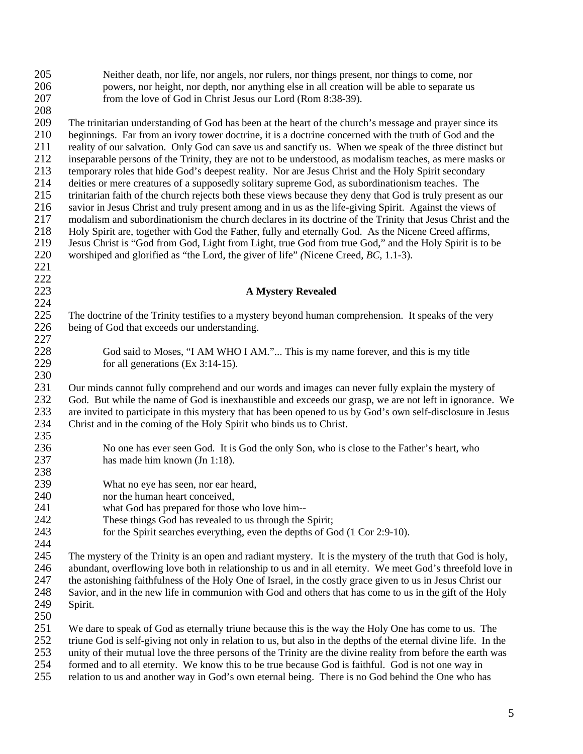| 205        | Neither death, nor life, nor angels, nor rulers, nor things present, nor things to come, nor                                                                                                                            |
|------------|-------------------------------------------------------------------------------------------------------------------------------------------------------------------------------------------------------------------------|
| 206        | powers, nor height, nor depth, nor anything else in all creation will be able to separate us                                                                                                                            |
| 207        | from the love of God in Christ Jesus our Lord (Rom 8:38-39).                                                                                                                                                            |
| 208        |                                                                                                                                                                                                                         |
| 209        | The trinitarian understanding of God has been at the heart of the church's message and prayer since its                                                                                                                 |
| 210        | beginnings. Far from an ivory tower doctrine, it is a doctrine concerned with the truth of God and the                                                                                                                  |
| 211        | reality of our salvation. Only God can save us and sanctify us. When we speak of the three distinct but                                                                                                                 |
| 212        | inseparable persons of the Trinity, they are not to be understood, as modalism teaches, as mere masks or                                                                                                                |
| 213        | temporary roles that hide God's deepest reality. Nor are Jesus Christ and the Holy Spirit secondary                                                                                                                     |
| 214        | deities or mere creatures of a supposedly solitary supreme God, as subordinationism teaches. The                                                                                                                        |
| 215        | trinitarian faith of the church rejects both these views because they deny that God is truly present as our                                                                                                             |
| 216        | savior in Jesus Christ and truly present among and in us as the life-giving Spirit. Against the views of                                                                                                                |
| 217        | modalism and subordinationism the church declares in its doctrine of the Trinity that Jesus Christ and the                                                                                                              |
| 218        | Holy Spirit are, together with God the Father, fully and eternally God. As the Nicene Creed affirms,                                                                                                                    |
| 219        | Jesus Christ is "God from God, Light from Light, true God from true God," and the Holy Spirit is to be                                                                                                                  |
| 220        | worshiped and glorified as "the Lord, the giver of life" (Nicene Creed, BC, 1.1-3).                                                                                                                                     |
| 221        |                                                                                                                                                                                                                         |
| $222\,$    |                                                                                                                                                                                                                         |
| 223        | <b>A Mystery Revealed</b>                                                                                                                                                                                               |
| 224        |                                                                                                                                                                                                                         |
| 225        | The doctrine of the Trinity testifies to a mystery beyond human comprehension. It speaks of the very                                                                                                                    |
| 226        | being of God that exceeds our understanding.                                                                                                                                                                            |
| 227        |                                                                                                                                                                                                                         |
| 228        | God said to Moses, "I AM WHO I AM." This is my name forever, and this is my title                                                                                                                                       |
| 229        | for all generations $(Ex\ 3:14-15)$ .                                                                                                                                                                                   |
| 230        |                                                                                                                                                                                                                         |
| 231        | Our minds cannot fully comprehend and our words and images can never fully explain the mystery of                                                                                                                       |
| 232        | God. But while the name of God is inexhaustible and exceeds our grasp, we are not left in ignorance. We                                                                                                                 |
| 233        | are invited to participate in this mystery that has been opened to us by God's own self-disclosure in Jesus                                                                                                             |
| 234        | Christ and in the coming of the Holy Spirit who binds us to Christ.                                                                                                                                                     |
| 235        |                                                                                                                                                                                                                         |
| 236        | No one has ever seen God. It is God the only Son, who is close to the Father's heart, who                                                                                                                               |
| 237        | has made him known (Jn 1:18).                                                                                                                                                                                           |
| 238        |                                                                                                                                                                                                                         |
| 239        | What no eye has seen, nor ear heard,                                                                                                                                                                                    |
| 240        | nor the human heart conceived,                                                                                                                                                                                          |
| 241        | what God has prepared for those who love him--                                                                                                                                                                          |
| 242        | These things God has revealed to us through the Spirit;                                                                                                                                                                 |
| 243        | for the Spirit searches everything, even the depths of God (1 Cor 2:9-10).                                                                                                                                              |
| 244        |                                                                                                                                                                                                                         |
| 245        | The mystery of the Trinity is an open and radiant mystery. It is the mystery of the truth that God is holy,                                                                                                             |
| 246        | abundant, overflowing love both in relationship to us and in all eternity. We meet God's threefold love in                                                                                                              |
| 247        | the astonishing faithfulness of the Holy One of Israel, in the costly grace given to us in Jesus Christ our                                                                                                             |
| 248        | Savior, and in the new life in communion with God and others that has come to us in the gift of the Holy                                                                                                                |
| 249        | Spirit.                                                                                                                                                                                                                 |
| 250        |                                                                                                                                                                                                                         |
| 251<br>252 | We dare to speak of God as eternally triune because this is the way the Holy One has come to us. The<br>triune God is self-giving not only in relation to us, but also in the depths of the eternal divine life. In the |
| 253        | unity of their mutual love the three persons of the Trinity are the divine reality from before the earth west                                                                                                           |

- 253 unity of their mutual love the three persons of the Trinity are the divine reality from before the earth was formed and to all eternity. We know this to be true because God is faithful. God is not one way in
- 254 formed and to all eternity. We know this to be true because God is faithful. God is not one way in 255 relation to us and another way in God's own eternal being. There is no God behind the One who ha relation to us and another way in God's own eternal being. There is no God behind the One who has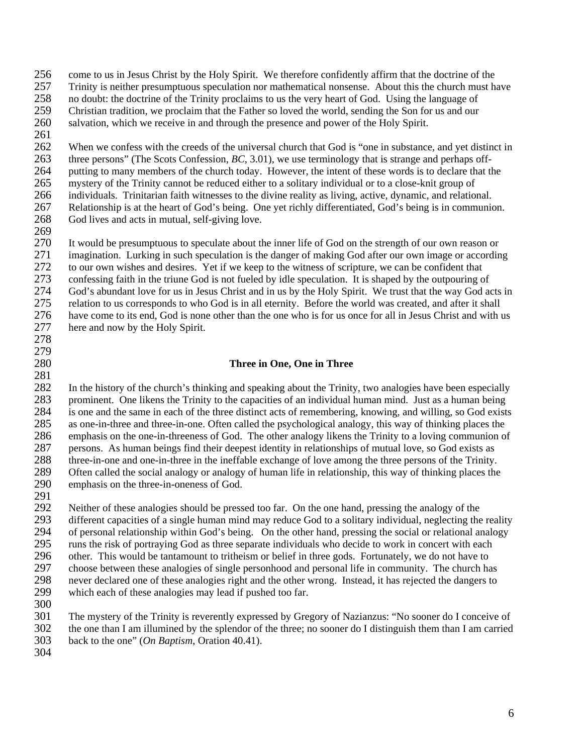- 256 come to us in Jesus Christ by the Holy Spirit. We therefore confidently affirm that the doctrine of the
- 257 Trinity is neither presumptuous speculation nor mathematical nonsense. About this the church must have
- 258 no doubt: the doctrine of the Trinity proclaims to us the very heart of God. Using the language of Christian tradition, we proclaim that the Father so loved the world, sending the Son for us and our
- 259 Christian tradition, we proclaim that the Father so loved the world, sending the Son for us and our 260 salvation, which we receive in and through the presence and power of the Holy Spirit.
- 261

262 When we confess with the creeds of the universal church that God is "one in substance, and yet distinct in 263 three persons" (The Scots Confession, *BC*, 3.01), we use terminology that is strange and perhaps off-264 putting to many members of the church today. However, the intent of these words is to declare that the 265 mystery of the Trinity cannot be reduced either to a solitary individual or to a close-knit group of 266 individuals. Trinitarian faith witnesses to the divine reality as living, active, dynamic, and relational. 267 Relationship is at the heart of God's being. One yet richly differentiated, God's being is in communion. 268 God lives and acts in mutual, self-giving love.

269

270 It would be presumptuous to speculate about the inner life of God on the strength of our own reason or 271 imagination. Lurking in such speculation is the danger of making God after our own image or according 272 to our own wishes and desires. Yet if we keep to the witness of scripture, we can be confident that 273 confessing faith in the triune God is not fueled by idle speculation. It is shaped by the outpouring of God's abundant love for us in Jesus Christ and in us by the Holy Spirit. We trust that the way God ac 274 God's abundant love for us in Jesus Christ and in us by the Holy Spirit. We trust that the way God acts in 275 relation to us corresponds to who God is in all eternity. Before the world was created, and after it shall 276 have come to its end, God is none other than the one who is for us once for all in Jesus Christ and with us 277 here and now by the Holy Spirit.

278 279

# 280 **Three in One, One in Three**

281 282 In the history of the church's thinking and speaking about the Trinity, two analogies have been especially 283 prominent. One likens the Trinity to the capacities of an individual human mind. Just as a human being is one and the same in each of the three distinct acts of remembering, knowing, and willing, so God exists 284 is one and the same in each of the three distinct acts of remembering, knowing, and willing, so God exists 285 as one-in-three and three-in-one. Often called the psychological analogy, this way of thinking places the 286 emphasis on the one-in-threeness of God. The other analogy likens the Trinity to a loving communion of 287 persons. As human beings find their deepest identity in relationships of mutual love, so God exists as 288 three-in-one and one-in-three in the ineffable exchange of love among the three persons of the Trinity.<br>289 Often called the social analogy or analogy of human life in relationship, this way of thinking places the 289 Often called the social analogy or analogy of human life in relationship, this way of thinking places the emphasis on the three-in-oneness of God. emphasis on the three-in-oneness of God.

291

292 Neither of these analogies should be pressed too far. On the one hand, pressing the analogy of the 293 different capacities of a single human mind may reduce God to a solitary individual, neglecting the reality<br>294 of personal relationship within God's being. On the other hand, pressing the social or relational analogy 294 of personal relationship within God's being. On the other hand, pressing the social or relational analogy 295 runs the risk of portraying God as three separate individuals who decide to work in concert with each 296 other. This would be tantamount to tritheism or belief in three gods. Fortunately, we do not have to 297 choose between these analogies of single personhood and personal life in community. The church has 298 never declared one of these analogies right and the other wrong. Instead, it has rejected the dangers to 299 which each of these analogies may lead if pushed too far.

300

301 The mystery of the Trinity is reverently expressed by Gregory of Nazianzus: "No sooner do I conceive of 302 the one than I am illumined by the splendor of the three; no sooner do I distinguish them than I am carried 303 back to the one" (*On Baptism*, Oration 40.41).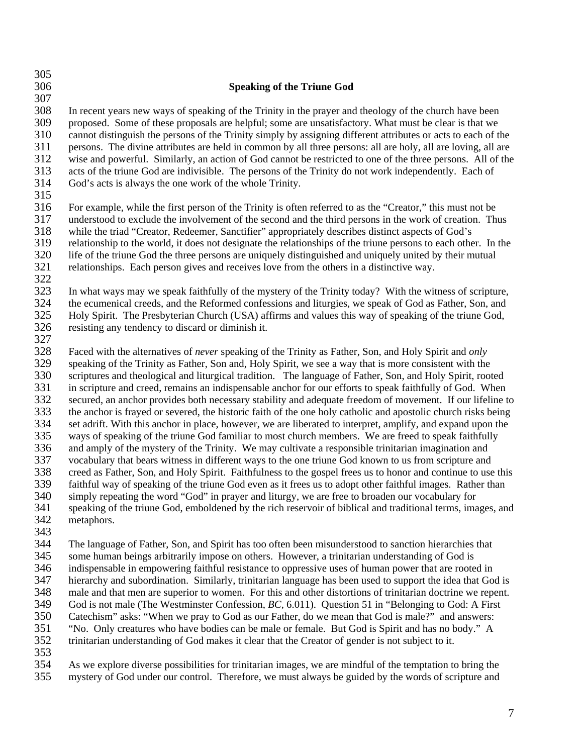| 305        |                                                                                                                |
|------------|----------------------------------------------------------------------------------------------------------------|
| 306        | <b>Speaking of the Triune God</b>                                                                              |
| 307        |                                                                                                                |
| 308        | In recent years new ways of speaking of the Trinity in the prayer and theology of the church have been         |
| 309        | proposed. Some of these proposals are helpful; some are unsatisfactory. What must be clear is that we          |
| 310        | cannot distinguish the persons of the Trinity simply by assigning different attributes or acts to each of the  |
| 311        | persons. The divine attributes are held in common by all three persons: all are holy, all are loving, all are  |
| 312        | wise and powerful. Similarly, an action of God cannot be restricted to one of the three persons. All of the    |
| 313        | acts of the triune God are indivisible. The persons of the Trinity do not work independently. Each of          |
| 314        | God's acts is always the one work of the whole Trinity.                                                        |
| 315        |                                                                                                                |
| 316        | For example, while the first person of the Trinity is often referred to as the "Creator," this must not be     |
| 317        | understood to exclude the involvement of the second and the third persons in the work of creation. Thus        |
| 318        | while the triad "Creator, Redeemer, Sanctifier" appropriately describes distinct aspects of God's              |
| 319        | relationship to the world, it does not designate the relationships of the triune persons to each other. In the |
| 320        | life of the triune God the three persons are uniquely distinguished and uniquely united by their mutual        |
| 321        | relationships. Each person gives and receives love from the others in a distinctive way.                       |
| 322        |                                                                                                                |
| 323        | In what ways may we speak faithfully of the mystery of the Trinity today? With the witness of scripture,       |
| 324        | the ecumenical creeds, and the Reformed confessions and liturgies, we speak of God as Father, Son, and         |
| 325        | Holy Spirit. The Presbyterian Church (USA) affirms and values this way of speaking of the triune God,          |
| 326        | resisting any tendency to discard or diminish it.                                                              |
| 327        |                                                                                                                |
| 328        | Faced with the alternatives of never speaking of the Trinity as Father, Son, and Holy Spirit and only          |
| 329        | speaking of the Trinity as Father, Son and, Holy Spirit, we see a way that is more consistent with the         |
| 330        | scriptures and theological and liturgical tradition. The language of Father, Son, and Holy Spirit, rooted      |
| 331        | in scripture and creed, remains an indispensable anchor for our efforts to speak faithfully of God. When       |
| 332        | secured, an anchor provides both necessary stability and adequate freedom of movement. If our lifeline to      |
| 333        | the anchor is frayed or severed, the historic faith of the one holy catholic and apostolic church risks being  |
| 334        | set adrift. With this anchor in place, however, we are liberated to interpret, amplify, and expand upon the    |
| 335        | ways of speaking of the triune God familiar to most church members. We are freed to speak faithfully           |
| 336        | and amply of the mystery of the Trinity. We may cultivate a responsible trinitarian imagination and            |
| 337        | vocabulary that bears witness in different ways to the one triune God known to us from scripture and           |
| 338        | creed as Father, Son, and Holy Spirit. Faithfulness to the gospel frees us to honor and continue to use this   |
| 339<br>340 | faithful way of speaking of the triune God even as it frees us to adopt other faithful images. Rather than     |
| 341        | simply repeating the word "God" in prayer and liturgy, we are free to broaden our vocabulary for               |
| 342        | speaking of the triune God, emboldened by the rich reservoir of biblical and traditional terms, images, and    |
| 343        | metaphors.                                                                                                     |
| 344        | The language of Father, Son, and Spirit has too often been misunderstood to sanction hierarchies that          |
| 345        | some human beings arbitrarily impose on others. However, a trinitarian understanding of God is                 |
| 346        | indispensable in empowering faithful resistance to oppressive uses of human power that are rooted in           |
| 347        | hierarchy and subordination. Similarly, trinitarian language has been used to support the idea that God is     |
| 348        | male and that men are superior to women. For this and other distortions of trinitarian doctrine we repent.     |
| 349        | God is not male (The Westminster Confession, BC, 6.011). Question 51 in "Belonging to God: A First             |
| 350        | Catechism" asks: "When we pray to God as our Father, do we mean that God is male?" and answers:                |
| 351        | "No. Only creatures who have bodies can be male or female. But God is Spirit and has no body." A               |
| 352        | trinitarian understanding of God makes it clear that the Creator of gender is not subject to it.               |
| 353        |                                                                                                                |
| 251        | us symbols diverse negativities for tripitarian images, we are mindful of the terretation to bring the         |

354 As we explore diverse possibilities for trinitarian images, we are mindful of the temptation to bring the mystery of God under our control. Therefore, we must always be guided by the words of scripture and mystery of God under our control. Therefore, we must always be guided by the words of scripture and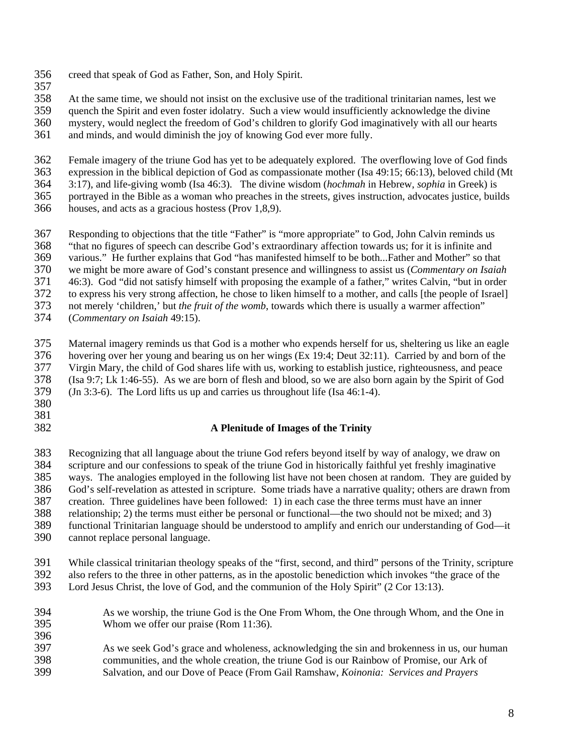- 356 creed that speak of God as Father, Son, and Holy Spirit.
- 357

358 At the same time, we should not insist on the exclusive use of the traditional trinitarian names, lest we quench the Spirit and even foster idolatry. Such a view would insufficiently acknowledge the divine

quench the Spirit and even foster idolatry. Such a view would insufficiently acknowledge the divine

360 mystery, would neglect the freedom of God's children to glorify God imaginatively with all our hearts

361 and minds, and would diminish the joy of knowing God ever more fully.

362 Female imagery of the triune God has yet to be adequately explored. The overflowing love of God finds 363 expression in the biblical depiction of God as compassionate mother (Isa 49:15; 66:13), beloved child (Mt

364 3:17), and life-giving womb (Isa 46:3). The divine wisdom (*hochmah* in Hebrew, *sophia* in Greek) is

- 365 portrayed in the Bible as a woman who preaches in the streets, gives instruction, advocates justice, builds
- 366 houses, and acts as a gracious hostess (Prov 1,8,9).

367 Responding to objections that the title "Father" is "more appropriate" to God, John Calvin reminds us

368 "that no figures of speech can describe God's extraordinary affection towards us; for it is infinite and 369 various." He further explains that God "has manifested himself to be both...Father and Mother" so that

370 we might be more aware of God's constant presence and willingness to assist us (*Commentary on Isaiah*

371 46:3). God "did not satisfy himself with proposing the example of a father," writes Calvin, "but in order

372 to express his very strong affection, he chose to liken himself to a mother, and calls [the people of Israel]

373 not merely 'children,' but *the fruit of the womb*, towards which there is usually a warmer affection"

374 (*Commentary on Isaiah* 49:15).

375 Maternal imagery reminds us that God is a mother who expends herself for us, sheltering us like an eagle 376 hovering over her young and bearing us on her wings (Ex 19:4; Deut 32:11). Carried by and born of the 377 Virgin Mary, the child of God shares life with us, working to establish justice, righteousness, and peace 378 (Isa 9:7; Lk 1:46-55). As we are born of flesh and blood, so we are also born again by the Spirit of God 379 (Jn 3:3-6). The Lord lifts us up and carries us throughout life (Isa 46:1-4).

- 380
- 381

396

### 382 **A Plenitude of Images of the Trinity**

383 Recognizing that all language about the triune God refers beyond itself by way of analogy, we draw on 384 scripture and our confessions to speak of the triune God in historically faithful yet freshly imaginative ways. The analogies employed in the following list have not been chosen at random. They are guided ways. The analogies employed in the following list have not been chosen at random. They are guided by 386 God's self-revelation as attested in scripture. Some triads have a narrative quality; others are drawn from

387 creation. Three guidelines have been followed: 1) in each case the three terms must have an inner

388 relationship; 2) the terms must either be personal or functional—the two should not be mixed; and 3)

389 functional Trinitarian language should be understood to amplify and enrich our understanding of God—it

- 390 cannot replace personal language.
- 391 While classical trinitarian theology speaks of the "first, second, and third" persons of the Trinity, scripture
- 392 also refers to the three in other patterns, as in the apostolic benediction which invokes "the grace of the 393 Lord Jesus Christ, the love of God, and the communion of the Holy Spirit" (2 Cor 13:13). Lord Jesus Christ, the love of God, and the communion of the Holy Spirit" (2 Cor 13:13).
- 394 As we worship, the triune God is the One From Whom, the One through Whom, and the One in 395 Whom we offer our praise (Rom 11:36).
- 397 As we seek God's grace and wholeness, acknowledging the sin and brokenness in us, our human 398 communities, and the whole creation, the triune God is our Rainbow of Promise, our Ark of 399 Salvation, and our Dove of Peace (From Gail Ramshaw, *Koinonia: Services and Prayers*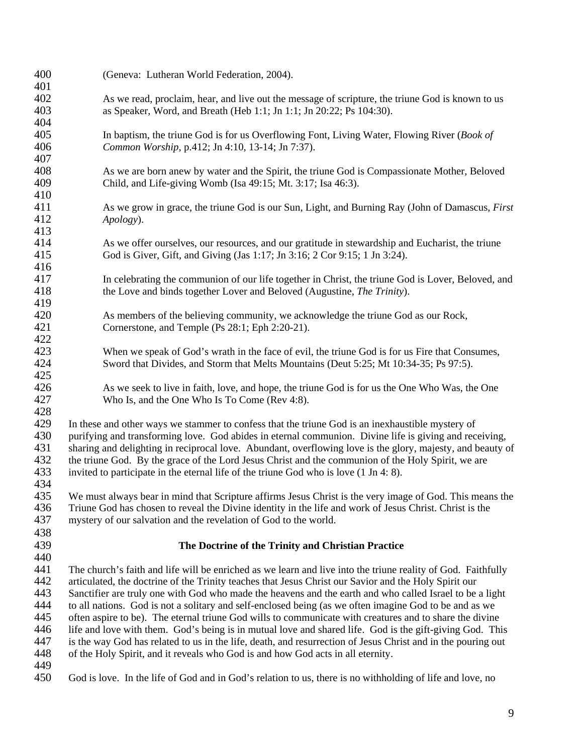| 400 | (Geneva: Lutheran World Federation, 2004).                                                                   |
|-----|--------------------------------------------------------------------------------------------------------------|
| 401 |                                                                                                              |
| 402 | As we read, proclaim, hear, and live out the message of scripture, the triune God is known to us             |
| 403 | as Speaker, Word, and Breath (Heb 1:1; Jn 1:1; Jn 20:22; Ps 104:30).                                         |
| 404 |                                                                                                              |
| 405 | In baptism, the triune God is for us Overflowing Font, Living Water, Flowing River (Book of                  |
| 406 | Common Worship, p.412; Jn 4:10, 13-14; Jn 7:37).                                                             |
| 407 |                                                                                                              |
| 408 | As we are born anew by water and the Spirit, the triune God is Compassionate Mother, Beloved                 |
| 409 | Child, and Life-giving Womb (Isa 49:15; Mt. 3:17; Isa 46:3).                                                 |
| 410 |                                                                                                              |
| 411 | As we grow in grace, the triune God is our Sun, Light, and Burning Ray (John of Damascus, <i>First</i>       |
| 412 | Apology).                                                                                                    |
| 413 |                                                                                                              |
| 414 | As we offer ourselves, our resources, and our gratitude in stewardship and Eucharist, the triune             |
| 415 | God is Giver, Gift, and Giving (Jas 1:17; Jn 3:16; 2 Cor 9:15; 1 Jn 3:24).                                   |
| 416 |                                                                                                              |
| 417 | In celebrating the communion of our life together in Christ, the triune God is Lover, Beloved, and           |
| 418 | the Love and binds together Lover and Beloved (Augustine, The Trinity).                                      |
| 419 |                                                                                                              |
| 420 | As members of the believing community, we acknowledge the triune God as our Rock,                            |
| 421 | Cornerstone, and Temple (Ps 28:1; Eph 2:20-21).                                                              |
| 422 |                                                                                                              |
| 423 | When we speak of God's wrath in the face of evil, the triune God is for us Fire that Consumes,               |
| 424 | Sword that Divides, and Storm that Melts Mountains (Deut 5:25; Mt 10:34-35; Ps 97:5).                        |
| 425 |                                                                                                              |
| 426 | As we seek to live in faith, love, and hope, the triune God is for us the One Who Was, the One               |
| 427 | Who Is, and the One Who Is To Come (Rev 4:8).                                                                |
| 428 |                                                                                                              |
| 429 | In these and other ways we stammer to confess that the triune God is an inexhaustible mystery of             |
| 430 | purifying and transforming love. God abides in eternal communion. Divine life is giving and receiving,       |
| 431 | sharing and delighting in reciprocal love. Abundant, overflowing love is the glory, majesty, and beauty of   |
| 432 | the triune God. By the grace of the Lord Jesus Christ and the communion of the Holy Spirit, we are           |
| 433 | invited to participate in the eternal life of the triune God who is love (1 Jn 4: 8).                        |
| 434 |                                                                                                              |
| 435 | We must always bear in mind that Scripture affirms Jesus Christ is the very image of God. This means the     |
| 436 | Triune God has chosen to reveal the Divine identity in the life and work of Jesus Christ. Christ is the      |
| 437 | mystery of our salvation and the revelation of God to the world.                                             |
|     |                                                                                                              |
| 438 |                                                                                                              |
| 439 | The Doctrine of the Trinity and Christian Practice                                                           |
| 440 |                                                                                                              |
| 441 | The church's faith and life will be enriched as we learn and live into the triune reality of God. Faithfully |
| 442 | articulated, the doctrine of the Trinity teaches that Jesus Christ our Savior and the Holy Spirit our        |
| 443 | Sanctifier are truly one with God who made the heavens and the earth and who called Israel to be a light     |
| 444 | to all nations. God is not a solitary and self-enclosed being (as we often imagine God to be and as we       |
| 445 | often aspire to be). The eternal triune God wills to communicate with creatures and to share the divine      |
| 446 | life and love with them. God's being is in mutual love and shared life. God is the gift-giving God. This     |
| 447 | is the way God has related to us in the life, death, and resurrection of Jesus Christ and in the pouring out |
| 448 | of the Holy Spirit, and it reveals who God is and how God acts in all eternity.                              |
| 449 |                                                                                                              |
| 450 | God is love. In the life of God and in God's relation to us, there is no withholding of life and love, no    |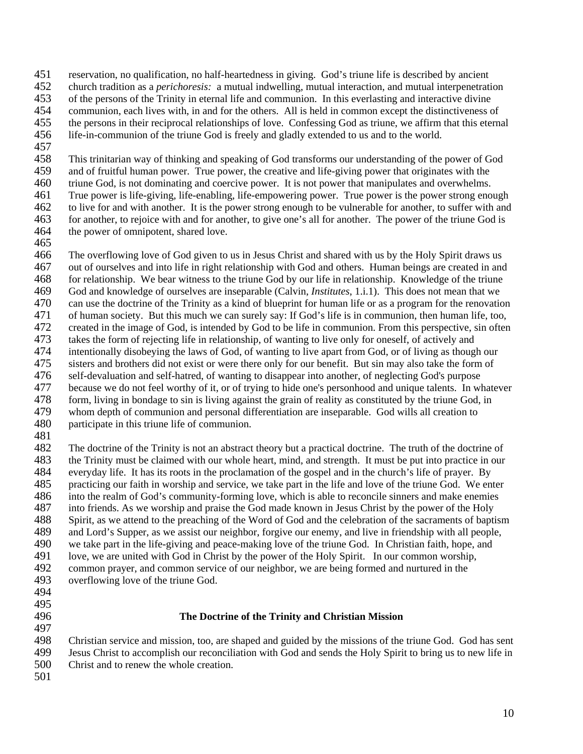451 reservation, no qualification, no half-heartedness in giving. God's triune life is described by ancient

- 452 church tradition as a *perichoresis:* a mutual indwelling, mutual interaction, and mutual interpenetration
- 453 of the persons of the Trinity in eternal life and communion. In this everlasting and interactive divine<br>454 communion, each lives with, in and for the others. All is held in common except the distinctiveness of
- 454 communion, each lives with, in and for the others. All is held in common except the distinctiveness of 455 the persons in their reciprocal relationships of love. Confessing God as triune, we affirm that this eternal
- 456 life-in-communion of the triune God is freely and gladly extended to us and to the world.
- 457

458 This trinitarian way of thinking and speaking of God transforms our understanding of the power of God 459 and of fruitful human power. True power, the creative and life-giving power that originates with the 460 triune God, is not dominating and coercive power. It is not power that manipulates and overwhelms. 461 True power is life-giving, life-enabling, life-empowering power. True power is the power strong enough

462 to live for and with another. It is the power strong enough to be vulnerable for another, to suffer with and 463 for another, to rejoice with and for another, to give one's all for another. The power of the triune God is 464 the power of omnipotent, shared love.

465

466 The overflowing love of God given to us in Jesus Christ and shared with us by the Holy Spirit draws us 467 out of ourselves and into life in right relationship with God and others. Human beings are created in and 468 for relationship. We bear witness to the triune God by our life in relationship. Knowledge of the triune 469 God and knowledge of ourselves are inseparable (Calvin, *Institutes*, 1.i.1). This does not mean that we 470 can use the doctrine of the Trinity as a kind of blueprint for human life or as a program for the renovation<br>471 of human society. But this much we can surely say: If God's life is in communion, then human life, too. 471 of human society. But this much we can surely say: If God's life is in communion, then human life, too, 472 created in the image of God, is intended by God to be life in communion. From this perspective, sin often 473 takes the form of rejecting life in relationship, of wanting to live only for oneself, of actively and<br>474 intentionally disobeying the laws of God, of wanting to live apart from God, or of living as thoug 474 intentionally disobeying the laws of God, of wanting to live apart from God, or of living as though our 475 sisters and brothers did not exist or were there only for our benefit. But sin may also take the form of 476 self-devaluation and self-hatred, of wanting to disappear into another, of neglecting God's purpose 477 because we do not feel worthy of it, or of trying to hide one's personhood and unique talents. In whatever 478 form, living in bondage to sin is living against the grain of reality as constituted by the triune God, in 479 whom depth of communion and personal differentiation are inseparable. God wills all creation to 480 participate in this triune life of communion.

481

482 The doctrine of the Trinity is not an abstract theory but a practical doctrine. The truth of the doctrine of 483 the Trinity must be claimed with our whole heart, mind, and strength. It must be put into practice in our<br>484 everyday life. It has its roots in the proclamation of the gospel and in the church's life of prayer. By 484 everyday life. It has its roots in the proclamation of the gospel and in the church's life of prayer. By 485 practicing our faith in worship and service, we take part in the life and love of the triune God. We enter 486 into the realm of God's community-forming love, which is able to reconcile sinners and make enemies 487 into friends. As we worship and praise the God made known in Jesus Christ by the power of the Holy 488 Spirit, as we attend to the preaching of the Word of God and the celebration of the sacraments of baptism 489 and Lord's Supper, as we assist our neighbor, forgive our enemy, and live in friendship with all people, 490 we take part in the life-giving and peace-making love of the triune God. In Christian faith, hope, and 491 love, we are united with God in Christ by the power of the Holy Spirit. In our common worship, 492 common prayer, and common service of our neighbor, we are being formed and nurtured in the 493 overflowing love of the triune God.

- 494
- 495

497

## 496 **The Doctrine of the Trinity and Christian Mission**

498 Christian service and mission, too, are shaped and guided by the missions of the triune God. God has sent 499 Jesus Christ to accomplish our reconciliation with God and sends the Holy Spirit to bring us to new life in

- 500 Christ and to renew the whole creation.
	- 501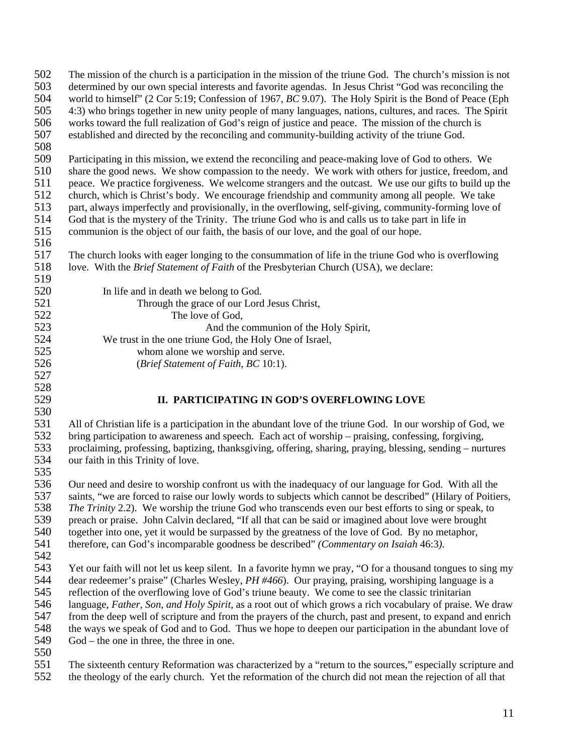| 502<br>503 | The mission of the church is a participation in the mission of the triune God. The church's mission is not<br>determined by our own special interests and favorite agendas. In Jesus Christ "God was reconciling the |
|------------|----------------------------------------------------------------------------------------------------------------------------------------------------------------------------------------------------------------------|
| 504        | world to himself" (2 Cor 5:19; Confession of 1967, BC 9.07). The Holy Spirit is the Bond of Peace (Eph                                                                                                               |
| 505        | 4:3) who brings together in new unity people of many languages, nations, cultures, and races. The Spirit                                                                                                             |
| 506        | works toward the full realization of God's reign of justice and peace. The mission of the church is                                                                                                                  |
| 507        |                                                                                                                                                                                                                      |
|            | established and directed by the reconciling and community-building activity of the triune God.                                                                                                                       |
| 508        |                                                                                                                                                                                                                      |
| 509        | Participating in this mission, we extend the reconciling and peace-making love of God to others. We                                                                                                                  |
| 510        | share the good news. We show compassion to the needy. We work with others for justice, freedom, and                                                                                                                  |
| 511        | peace. We practice forgiveness. We welcome strangers and the outcast. We use our gifts to build up the                                                                                                               |
| 512        | church, which is Christ's body. We encourage friendship and community among all people. We take                                                                                                                      |
| 513        | part, always imperfectly and provisionally, in the overflowing, self-giving, community-forming love of                                                                                                               |
| 514        | God that is the mystery of the Trinity. The triune God who is and calls us to take part in life in                                                                                                                   |
| 515        | communion is the object of our faith, the basis of our love, and the goal of our hope.                                                                                                                               |
| 516        |                                                                                                                                                                                                                      |
| 517        | The church looks with eager longing to the consummation of life in the triune God who is overflowing                                                                                                                 |
| 518        | love. With the Brief Statement of Faith of the Presbyterian Church (USA), we declare:                                                                                                                                |
| 519        |                                                                                                                                                                                                                      |
| 520        | In life and in death we belong to God.                                                                                                                                                                               |
| 521        | Through the grace of our Lord Jesus Christ,                                                                                                                                                                          |
| 522        | The love of God,                                                                                                                                                                                                     |
| 523        | And the communion of the Holy Spirit,                                                                                                                                                                                |
| 524        | We trust in the one triune God, the Holy One of Israel,                                                                                                                                                              |
| 525        | whom alone we worship and serve.                                                                                                                                                                                     |
| 526        | (Brief Statement of Faith, BC 10:1).                                                                                                                                                                                 |
| 527        |                                                                                                                                                                                                                      |
|            |                                                                                                                                                                                                                      |
| 528        |                                                                                                                                                                                                                      |
| 529        | II. PARTICIPATING IN GOD'S OVERFLOWING LOVE                                                                                                                                                                          |
| 530        |                                                                                                                                                                                                                      |
| 531        | All of Christian life is a participation in the abundant love of the triune God. In our worship of God, we                                                                                                           |
| 532        | bring participation to awareness and speech. Each act of worship – praising, confessing, forgiving,                                                                                                                  |
| 533        | proclaiming, professing, baptizing, thanksgiving, offering, sharing, praying, blessing, sending – nurtures                                                                                                           |
| 534        | our faith in this Trinity of love.                                                                                                                                                                                   |
| 535        |                                                                                                                                                                                                                      |
| 536        |                                                                                                                                                                                                                      |
|            | Our need and desire to worship confront us with the inadequacy of our language for God. With all the<br>saints, "we are forced to raise our lowly words to subjects which cannot be described" (Hilary of Poitiers,  |
| 537<br>538 | The Trinity 2.2). We worship the triune God who transcends even our best efforts to sing or speak, to                                                                                                                |
|            |                                                                                                                                                                                                                      |
| 539        | preach or praise. John Calvin declared, "If all that can be said or imagined about love were brought                                                                                                                 |
| 540        | together into one, yet it would be surpassed by the greatness of the love of God. By no metaphor,                                                                                                                    |
| 541        | therefore, can God's incomparable goodness be described" (Commentary on Isaiah 46:3).                                                                                                                                |
| 542        |                                                                                                                                                                                                                      |
| 543        | Yet our faith will not let us keep silent. In a favorite hymn we pray, "O for a thousand tongues to sing my                                                                                                          |
| 544        | dear redeemer's praise" (Charles Wesley, PH #466). Our praying, praising, worshiping language is a                                                                                                                   |
| 545        | reflection of the overflowing love of God's triune beauty. We come to see the classic trinitarian                                                                                                                    |
| 546        | language, Father, Son, and Holy Spirit, as a root out of which grows a rich vocabulary of praise. We draw                                                                                                            |
| 547        | from the deep well of scripture and from the prayers of the church, past and present, to expand and enrich                                                                                                           |
| 548        | the ways we speak of God and to God. Thus we hope to deepen our participation in the abundant love of                                                                                                                |
| 549        | $God$ – the one in three, the three in one.                                                                                                                                                                          |
| 550<br>551 | The sixteenth century Reformation was characterized by a "return to the sources," especially scripture and                                                                                                           |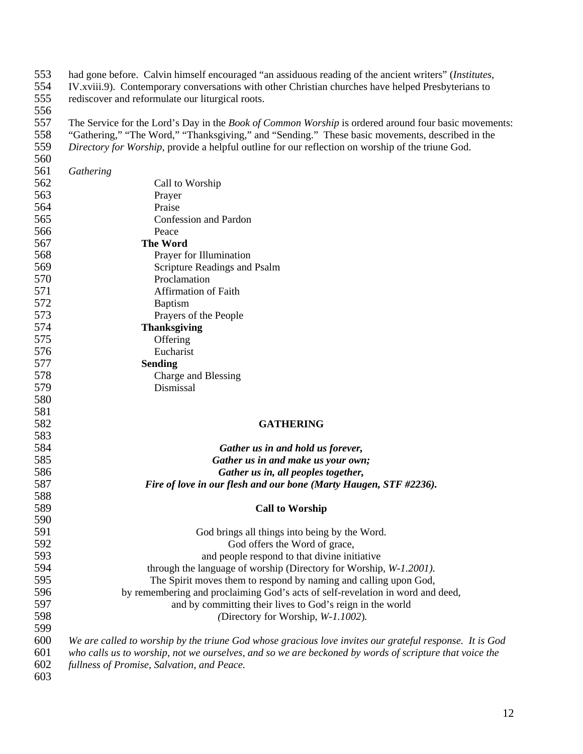553 had gone before. Calvin himself encouraged "an assiduous reading of the ancient writers" (*Institutes,* 554 IV.xviii.9). Contemporary conversations with other Christian churches have helped Presbyterians to

rediscover and reformulate our liturgical roots.

- 556<br>557 557 The Service for the Lord's Day in the *Book of Common Worship* is ordered around four basic movements:<br>558 "Gathering," "The Word," "Thanksgiving," and "Sending." These basic movements, described in the 558 "Gathering," "The Word," "Thanksgiving," and "Sending." These basic movements, described in the Directory for Worship, provide a helpful outline for our reflection on worship of the triune God.
- 559 *Directory for Worship,* provide a helpful outline for our reflection on worship of the triune God. 560

| 561 | Gathering                                                                                               |
|-----|---------------------------------------------------------------------------------------------------------|
| 562 | Call to Worship                                                                                         |
| 563 | Prayer                                                                                                  |
| 564 | Praise                                                                                                  |
| 565 | Confession and Pardon                                                                                   |
| 566 | Peace                                                                                                   |
| 567 | <b>The Word</b>                                                                                         |
| 568 | Prayer for Illumination                                                                                 |
| 569 | Scripture Readings and Psalm                                                                            |
| 570 | Proclamation                                                                                            |
| 571 | <b>Affirmation of Faith</b>                                                                             |
| 572 | <b>Baptism</b>                                                                                          |
| 573 | Prayers of the People                                                                                   |
| 574 | <b>Thanksgiving</b>                                                                                     |
| 575 | Offering                                                                                                |
| 576 | Eucharist                                                                                               |
| 577 | <b>Sending</b>                                                                                          |
| 578 | Charge and Blessing                                                                                     |
| 579 | Dismissal                                                                                               |
| 580 |                                                                                                         |
| 581 |                                                                                                         |
| 582 | <b>GATHERING</b>                                                                                        |
| 583 |                                                                                                         |
| 584 | Gather us in and hold us forever,                                                                       |
| 585 | Gather us in and make us your own;                                                                      |
| 586 | Gather us in, all peoples together,                                                                     |
| 587 | Fire of love in our flesh and our bone (Marty Haugen, STF #2236).                                       |
| 588 |                                                                                                         |
| 589 | <b>Call to Worship</b>                                                                                  |
| 590 |                                                                                                         |
| 591 | God brings all things into being by the Word.                                                           |
| 592 | God offers the Word of grace,                                                                           |
| 593 | and people respond to that divine initiative                                                            |
| 594 | through the language of worship (Directory for Worship, W-1.2001).                                      |
| 595 | The Spirit moves them to respond by naming and calling upon God,                                        |
| 596 | by remembering and proclaiming God's acts of self-revelation in word and deed,                          |
| 597 | and by committing their lives to God's reign in the world                                               |
| 598 | (Directory for Worship, W-1.1002).                                                                      |
| 599 |                                                                                                         |
| 600 | We are called to worship by the triune God whose gracious love invites our grateful response. It is God |
| 601 | who calls us to worship, not we ourselves, and so we are beckoned by words of scripture that voice the  |
| 602 | fullness of Promise, Salvation, and Peace.                                                              |
| 603 |                                                                                                         |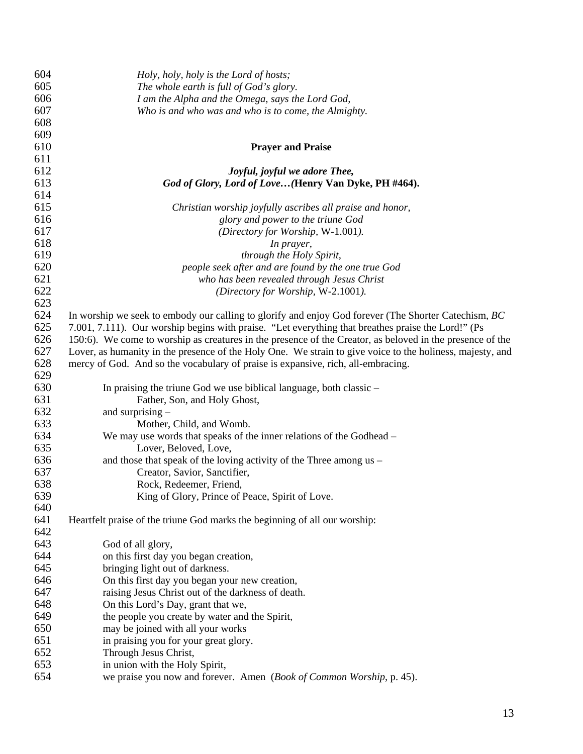| 604 | Holy, holy, holy is the Lord of hosts;                                                                    |
|-----|-----------------------------------------------------------------------------------------------------------|
| 605 | The whole earth is full of God's glory.                                                                   |
| 606 | I am the Alpha and the Omega, says the Lord God,                                                          |
| 607 | Who is and who was and who is to come, the Almighty.                                                      |
| 608 |                                                                                                           |
| 609 |                                                                                                           |
| 610 | <b>Prayer and Praise</b>                                                                                  |
| 611 |                                                                                                           |
| 612 | Joyful, joyful we adore Thee,                                                                             |
| 613 | God of Glory, Lord of Love(Henry Van Dyke, PH #464).                                                      |
| 614 |                                                                                                           |
| 615 | Christian worship joyfully ascribes all praise and honor,                                                 |
| 616 | glory and power to the triune God                                                                         |
| 617 | (Directory for Worship, W-1.001).                                                                         |
| 618 | In prayer,                                                                                                |
| 619 | through the Holy Spirit,                                                                                  |
| 620 | people seek after and are found by the one true God                                                       |
| 621 | who has been revealed through Jesus Christ                                                                |
| 622 | (Directory for Worship, W-2.1001).                                                                        |
| 623 |                                                                                                           |
| 624 | In worship we seek to embody our calling to glorify and enjoy God forever (The Shorter Catechism, BC)     |
| 625 | 7.001, 7.111). Our worship begins with praise. "Let everything that breathes praise the Lord!" (Ps        |
| 626 | 150:6). We come to worship as creatures in the presence of the Creator, as beloved in the presence of the |
| 627 | Lover, as humanity in the presence of the Holy One. We strain to give voice to the holiness, majesty, and |
| 628 | mercy of God. And so the vocabulary of praise is expansive, rich, all-embracing.                          |
| 629 |                                                                                                           |
| 630 | In praising the triune God we use biblical language, both classic –                                       |
| 631 | Father, Son, and Holy Ghost,                                                                              |
| 632 | and surprising $-$                                                                                        |
| 633 | Mother, Child, and Womb.                                                                                  |
| 634 | We may use words that speaks of the inner relations of the Godhead –                                      |
| 635 | Lover, Beloved, Love,                                                                                     |
| 636 | and those that speak of the loving activity of the Three among us –                                       |
| 637 | Creator, Savior, Sanctifier,                                                                              |
| 638 | Rock, Redeemer, Friend,                                                                                   |
| 639 | King of Glory, Prince of Peace, Spirit of Love.                                                           |
| 640 |                                                                                                           |
| 641 | Heartfelt praise of the triune God marks the beginning of all our worship:                                |
| 642 |                                                                                                           |
| 643 | God of all glory,                                                                                         |
| 644 | on this first day you began creation,                                                                     |
| 645 | bringing light out of darkness.                                                                           |
| 646 | On this first day you began your new creation,                                                            |
| 647 | raising Jesus Christ out of the darkness of death.                                                        |
| 648 | On this Lord's Day, grant that we,                                                                        |
| 649 | the people you create by water and the Spirit,                                                            |
| 650 | may be joined with all your works                                                                         |
| 651 | in praising you for your great glory.                                                                     |
| 652 | Through Jesus Christ,                                                                                     |
| 653 | in union with the Holy Spirit,                                                                            |
| 654 | we praise you now and forever. Amen (Book of Common Worship, p. 45).                                      |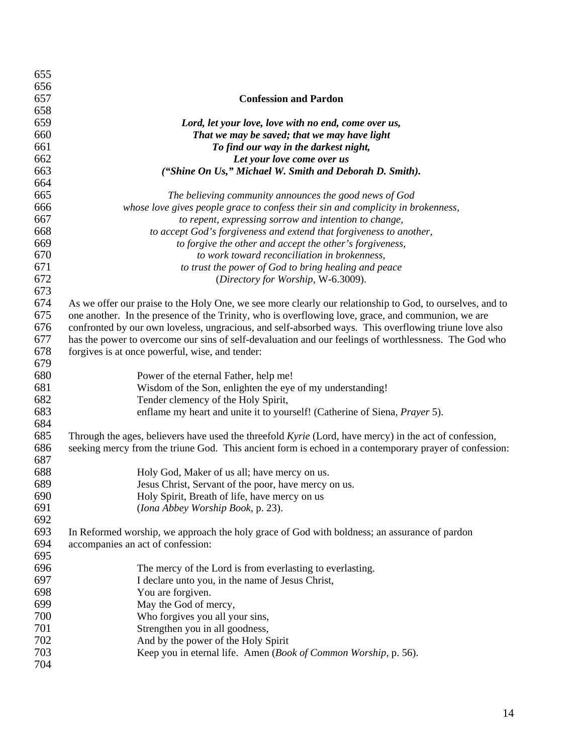| 655 |                                                                                                               |
|-----|---------------------------------------------------------------------------------------------------------------|
| 656 |                                                                                                               |
| 657 | <b>Confession and Pardon</b>                                                                                  |
| 658 |                                                                                                               |
| 659 | Lord, let your love, love with no end, come over us,                                                          |
| 660 | That we may be saved; that we may have light                                                                  |
| 661 | To find our way in the darkest night,                                                                         |
| 662 | Let your love come over us                                                                                    |
| 663 | ("Shine On Us," Michael W. Smith and Deborah D. Smith).                                                       |
| 664 |                                                                                                               |
| 665 | The believing community announces the good news of God                                                        |
| 666 | whose love gives people grace to confess their sin and complicity in brokenness,                              |
| 667 | to repent, expressing sorrow and intention to change,                                                         |
| 668 | to accept God's forgiveness and extend that forgiveness to another,                                           |
| 669 | to forgive the other and accept the other's forgiveness,                                                      |
| 670 | to work toward reconciliation in brokenness,                                                                  |
| 671 | to trust the power of God to bring healing and peace                                                          |
| 672 | (Directory for Worship, W-6.3009).                                                                            |
| 673 |                                                                                                               |
| 674 | As we offer our praise to the Holy One, we see more clearly our relationship to God, to ourselves, and to     |
| 675 | one another. In the presence of the Trinity, who is overflowing love, grace, and communion, we are            |
| 676 | confronted by our own loveless, ungracious, and self-absorbed ways. This overflowing triune love also         |
| 677 | has the power to overcome our sins of self-devaluation and our feelings of worthlessness. The God who         |
| 678 | forgives is at once powerful, wise, and tender:                                                               |
| 679 |                                                                                                               |
| 680 | Power of the eternal Father, help me!                                                                         |
| 681 | Wisdom of the Son, enlighten the eye of my understanding!                                                     |
| 682 | Tender clemency of the Holy Spirit,                                                                           |
| 683 | enflame my heart and unite it to yourself! (Catherine of Siena, Prayer 5).                                    |
| 684 |                                                                                                               |
| 685 | Through the ages, believers have used the threefold Kyrie (Lord, have mercy) in the act of confession,        |
| 686 | seeking mercy from the triune God. This ancient form is echoed in a contemporary prayer of confession:        |
| 687 |                                                                                                               |
| 688 | Holy God, Maker of us all; have mercy on us.                                                                  |
| 689 | Jesus Christ, Servant of the poor, have mercy on us.                                                          |
| 690 | Holy Spirit, Breath of life, have mercy on us                                                                 |
| 691 | (Iona Abbey Worship Book, p. 23).                                                                             |
| 692 |                                                                                                               |
| 693 | In Reformed worship, we approach the holy grace of God with boldness; an assurance of pardon                  |
| 694 | accompanies an act of confession:                                                                             |
| 695 |                                                                                                               |
| 696 |                                                                                                               |
| 697 | The mercy of the Lord is from everlasting to everlasting.<br>I declare unto you, in the name of Jesus Christ, |
| 698 |                                                                                                               |
| 699 | You are forgiven.                                                                                             |
|     | May the God of mercy,                                                                                         |
| 700 | Who forgives you all your sins,                                                                               |
| 701 | Strengthen you in all goodness,                                                                               |
| 702 | And by the power of the Holy Spirit                                                                           |
| 703 | Keep you in eternal life. Amen (Book of Common Worship, p. 56).                                               |
| 704 |                                                                                                               |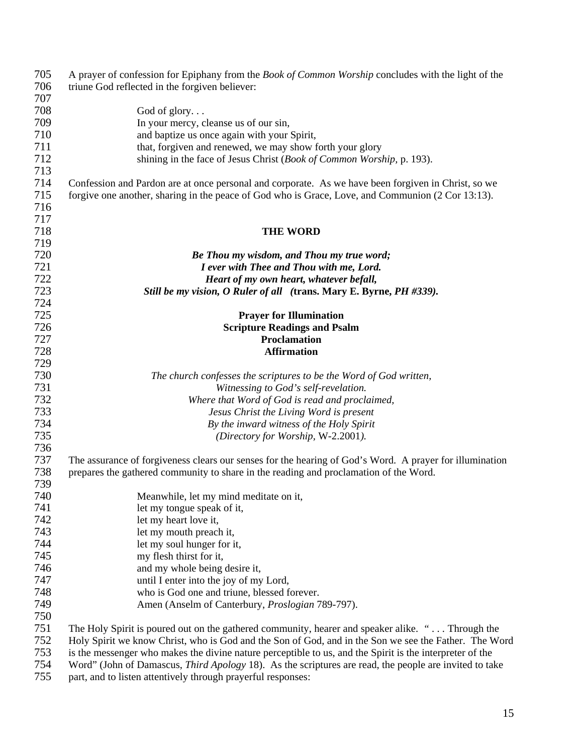| 705 | A prayer of confession for Epiphany from the <i>Book of Common Worship</i> concludes with the light of the |
|-----|------------------------------------------------------------------------------------------------------------|
| 706 | triune God reflected in the forgiven believer:                                                             |
| 707 |                                                                                                            |
| 708 | God of $g$ lory                                                                                            |
| 709 | In your mercy, cleanse us of our sin,                                                                      |
| 710 | and baptize us once again with your Spirit,                                                                |
| 711 | that, forgiven and renewed, we may show forth your glory                                                   |
| 712 | shining in the face of Jesus Christ (Book of Common Worship, p. 193).                                      |
| 713 |                                                                                                            |
| 714 | Confession and Pardon are at once personal and corporate. As we have been forgiven in Christ, so we        |
| 715 | forgive one another, sharing in the peace of God who is Grace, Love, and Communion (2 Cor 13:13).          |
| 716 |                                                                                                            |
|     |                                                                                                            |
| 717 |                                                                                                            |
| 718 | <b>THE WORD</b>                                                                                            |
| 719 |                                                                                                            |
| 720 | Be Thou my wisdom, and Thou my true word;                                                                  |
| 721 | I ever with Thee and Thou with me, Lord.                                                                   |
| 722 | Heart of my own heart, whatever befall,                                                                    |
| 723 | Still be my vision, O Ruler of all (trans. Mary E. Byrne, PH #339).                                        |
| 724 |                                                                                                            |
| 725 | <b>Prayer for Illumination</b>                                                                             |
| 726 | <b>Scripture Readings and Psalm</b>                                                                        |
| 727 | <b>Proclamation</b>                                                                                        |
| 728 | <b>Affirmation</b>                                                                                         |
| 729 |                                                                                                            |
| 730 | The church confesses the scriptures to be the Word of God written,                                         |
| 731 | Witnessing to God's self-revelation.                                                                       |
| 732 | Where that Word of God is read and proclaimed,                                                             |
| 733 | Jesus Christ the Living Word is present                                                                    |
| 734 | By the inward witness of the Holy Spirit                                                                   |
| 735 | (Directory for Worship, W-2.2001).                                                                         |
| 736 |                                                                                                            |
| 737 | The assurance of forgiveness clears our senses for the hearing of God's Word. A prayer for illumination    |
| 738 | prepares the gathered community to share in the reading and proclamation of the Word.                      |
| 739 |                                                                                                            |
| 740 | Meanwhile, let my mind meditate on it,                                                                     |
| 741 | let my tongue speak of it,                                                                                 |
| 742 | let my heart love it,                                                                                      |
| 743 | let my mouth preach it,                                                                                    |
| 744 |                                                                                                            |
| 745 | let my soul hunger for it,                                                                                 |
|     | my flesh thirst for it,                                                                                    |
| 746 | and my whole being desire it,                                                                              |
| 747 | until I enter into the joy of my Lord,                                                                     |
| 748 | who is God one and triune, blessed forever.                                                                |
| 749 | Amen (Anselm of Canterbury, Proslogian 789-797).                                                           |
| 750 |                                                                                                            |
| 751 | The Holy Spirit is poured out on the gathered community, hearer and speaker alike. " Through the           |
| 752 | Holy Spirit we know Christ, who is God and the Son of God, and in the Son we see the Father. The Word      |
| 753 | is the messenger who makes the divine nature perceptible to us, and the Spirit is the interpreter of the   |
| 754 | Word" (John of Damascus, Third Apology 18). As the scriptures are read, the people are invited to take     |
| 755 | part, and to listen attentively through prayerful responses:                                               |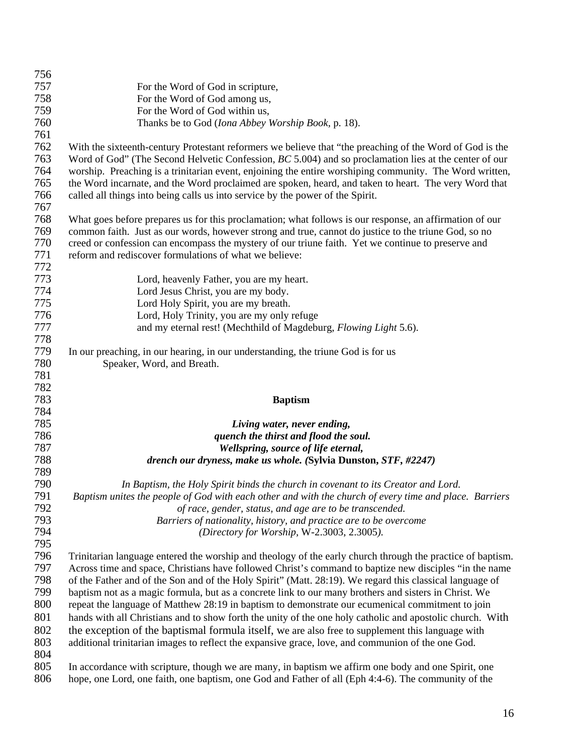| 756        |                                                                                                                                                                                                            |
|------------|------------------------------------------------------------------------------------------------------------------------------------------------------------------------------------------------------------|
| 757        | For the Word of God in scripture,                                                                                                                                                                          |
| 758        | For the Word of God among us,                                                                                                                                                                              |
| 759        | For the Word of God within us,                                                                                                                                                                             |
| 760        | Thanks be to God (Iona Abbey Worship Book, p. 18).                                                                                                                                                         |
| 761        |                                                                                                                                                                                                            |
| 762        | With the sixteenth-century Protestant reformers we believe that "the preaching of the Word of God is the                                                                                                   |
| 763        | Word of God" (The Second Helvetic Confession, BC 5.004) and so proclamation lies at the center of our                                                                                                      |
| 764        | worship. Preaching is a trinitarian event, enjoining the entire worshiping community. The Word written,                                                                                                    |
| 765        | the Word incarnate, and the Word proclaimed are spoken, heard, and taken to heart. The very Word that                                                                                                      |
| 766        | called all things into being calls us into service by the power of the Spirit.                                                                                                                             |
| 767        |                                                                                                                                                                                                            |
| 768        | What goes before prepares us for this proclamation; what follows is our response, an affirmation of our                                                                                                    |
| 769        | common faith. Just as our words, however strong and true, cannot do justice to the triune God, so no                                                                                                       |
| 770        | creed or confession can encompass the mystery of our triune faith. Yet we continue to preserve and                                                                                                         |
| 771        | reform and rediscover formulations of what we believe:                                                                                                                                                     |
| 772        |                                                                                                                                                                                                            |
| 773        | Lord, heavenly Father, you are my heart.                                                                                                                                                                   |
| 774        | Lord Jesus Christ, you are my body.                                                                                                                                                                        |
| 775        | Lord Holy Spirit, you are my breath.                                                                                                                                                                       |
| 776        | Lord, Holy Trinity, you are my only refuge                                                                                                                                                                 |
| 777        | and my eternal rest! (Mechthild of Magdeburg, Flowing Light 5.6).                                                                                                                                          |
| 778        |                                                                                                                                                                                                            |
| 779        | In our preaching, in our hearing, in our understanding, the triune God is for us                                                                                                                           |
| 780        | Speaker, Word, and Breath.                                                                                                                                                                                 |
| 781        |                                                                                                                                                                                                            |
| 782        |                                                                                                                                                                                                            |
| 783        | <b>Baptism</b>                                                                                                                                                                                             |
| 784        |                                                                                                                                                                                                            |
| 785        | Living water, never ending,                                                                                                                                                                                |
| 786        | quench the thirst and flood the soul.                                                                                                                                                                      |
| 787        | Wellspring, source of life eternal,                                                                                                                                                                        |
| 788        | drench our dryness, make us whole. (Sylvia Dunston, STF, #2247)                                                                                                                                            |
| 789        |                                                                                                                                                                                                            |
| 790        | In Baptism, the Holy Spirit binds the church in covenant to its Creator and Lord.                                                                                                                          |
| 791        | Baptism unites the people of God with each other and with the church of every time and place. Barriers                                                                                                     |
| 792        | of race, gender, status, and age are to be transcended.                                                                                                                                                    |
| 793        | Barriers of nationality, history, and practice are to be overcome                                                                                                                                          |
| 794        | (Directory for Worship, W-2.3003, 2.3005).                                                                                                                                                                 |
| 795        |                                                                                                                                                                                                            |
| 796        | Trinitarian language entered the worship and theology of the early church through the practice of baptism.                                                                                                 |
| 797        | Across time and space, Christians have followed Christ's command to baptize new disciples "in the name"                                                                                                    |
| 798        | of the Father and of the Son and of the Holy Spirit" (Matt. 28:19). We regard this classical language of                                                                                                   |
| 799        | baptism not as a magic formula, but as a concrete link to our many brothers and sisters in Christ. We                                                                                                      |
| 800        | repeat the language of Matthew 28:19 in baptism to demonstrate our ecumenical commitment to join                                                                                                           |
| 801        | hands with all Christians and to show forth the unity of the one holy catholic and apostolic church. With                                                                                                  |
|            |                                                                                                                                                                                                            |
| 802        | the exception of the baptismal formula itself, we are also free to supplement this language with<br>additional trinitarian images to reflect the expansive grace, love, and communion of the one God.      |
| 803<br>804 |                                                                                                                                                                                                            |
|            |                                                                                                                                                                                                            |
|            |                                                                                                                                                                                                            |
| 805<br>806 | In accordance with scripture, though we are many, in baptism we affirm one body and one Spirit, one<br>hope, one Lord, one faith, one baptism, one God and Father of all (Eph 4:4-6). The community of the |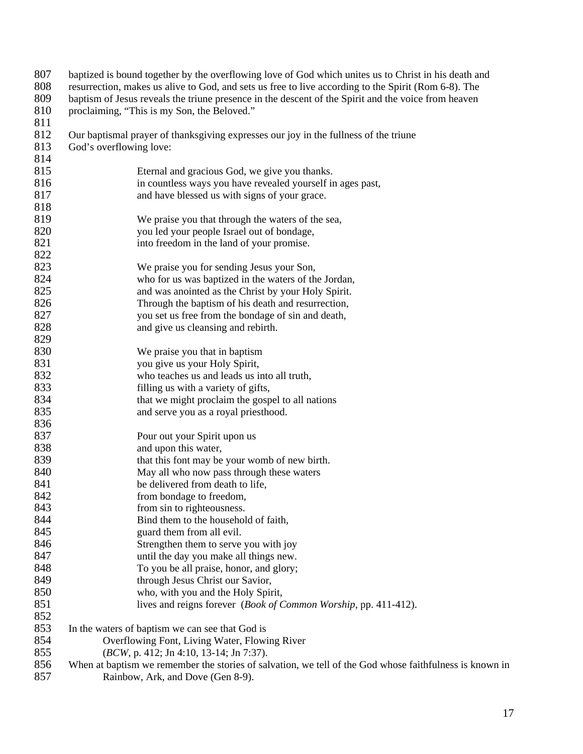| 807<br>808<br>809<br>810 | baptized is bound together by the overflowing love of God which unites us to Christ in his death and<br>resurrection, makes us alive to God, and sets us free to live according to the Spirit (Rom 6-8). The<br>baptism of Jesus reveals the triune presence in the descent of the Spirit and the voice from heaven<br>proclaiming, "This is my Son, the Beloved." |
|--------------------------|--------------------------------------------------------------------------------------------------------------------------------------------------------------------------------------------------------------------------------------------------------------------------------------------------------------------------------------------------------------------|
| 811                      |                                                                                                                                                                                                                                                                                                                                                                    |
| 812<br>813               | Our baptismal prayer of thanksgiving expresses our joy in the fullness of the triune<br>God's overflowing love:                                                                                                                                                                                                                                                    |
| 814                      |                                                                                                                                                                                                                                                                                                                                                                    |
| 815                      | Eternal and gracious God, we give you thanks.                                                                                                                                                                                                                                                                                                                      |
| 816                      | in countless ways you have revealed yourself in ages past,                                                                                                                                                                                                                                                                                                         |
| 817                      | and have blessed us with signs of your grace.                                                                                                                                                                                                                                                                                                                      |
| 818                      |                                                                                                                                                                                                                                                                                                                                                                    |
| 819                      | We praise you that through the waters of the sea,                                                                                                                                                                                                                                                                                                                  |
| 820                      | you led your people Israel out of bondage,                                                                                                                                                                                                                                                                                                                         |
| 821                      | into freedom in the land of your promise.                                                                                                                                                                                                                                                                                                                          |
| 822                      |                                                                                                                                                                                                                                                                                                                                                                    |
| 823                      | We praise you for sending Jesus your Son,                                                                                                                                                                                                                                                                                                                          |
| 824                      | who for us was baptized in the waters of the Jordan,                                                                                                                                                                                                                                                                                                               |
| 825                      | and was anointed as the Christ by your Holy Spirit.                                                                                                                                                                                                                                                                                                                |
| 826                      | Through the baptism of his death and resurrection,                                                                                                                                                                                                                                                                                                                 |
| 827                      | you set us free from the bondage of sin and death,                                                                                                                                                                                                                                                                                                                 |
| 828                      | and give us cleansing and rebirth.                                                                                                                                                                                                                                                                                                                                 |
| 829                      |                                                                                                                                                                                                                                                                                                                                                                    |
| 830                      | We praise you that in baptism                                                                                                                                                                                                                                                                                                                                      |
| 831                      | you give us your Holy Spirit,                                                                                                                                                                                                                                                                                                                                      |
| 832                      | who teaches us and leads us into all truth,                                                                                                                                                                                                                                                                                                                        |
| 833                      | filling us with a variety of gifts,                                                                                                                                                                                                                                                                                                                                |
| 834                      | that we might proclaim the gospel to all nations                                                                                                                                                                                                                                                                                                                   |
| 835                      | and serve you as a royal priesthood.                                                                                                                                                                                                                                                                                                                               |
| 836                      |                                                                                                                                                                                                                                                                                                                                                                    |
| 837                      | Pour out your Spirit upon us                                                                                                                                                                                                                                                                                                                                       |
| 838                      | and upon this water,                                                                                                                                                                                                                                                                                                                                               |
| 839                      | that this font may be your womb of new birth.                                                                                                                                                                                                                                                                                                                      |
| 840                      | May all who now pass through these waters                                                                                                                                                                                                                                                                                                                          |
| 841                      | be delivered from death to life,                                                                                                                                                                                                                                                                                                                                   |
| 842                      | from bondage to freedom,                                                                                                                                                                                                                                                                                                                                           |
| 843                      | from sin to righteousness.                                                                                                                                                                                                                                                                                                                                         |
| 844                      | Bind them to the household of faith,                                                                                                                                                                                                                                                                                                                               |
| 845                      | guard them from all evil.                                                                                                                                                                                                                                                                                                                                          |
| 846                      | Strengthen them to serve you with joy                                                                                                                                                                                                                                                                                                                              |
| 847                      | until the day you make all things new.                                                                                                                                                                                                                                                                                                                             |
| 848                      | To you be all praise, honor, and glory;                                                                                                                                                                                                                                                                                                                            |
| 849                      | through Jesus Christ our Savior,                                                                                                                                                                                                                                                                                                                                   |
| 850                      | who, with you and the Holy Spirit,                                                                                                                                                                                                                                                                                                                                 |
| 851                      | lives and reigns forever ( <i>Book of Common Worship</i> , pp. 411-412).                                                                                                                                                                                                                                                                                           |
| 852                      |                                                                                                                                                                                                                                                                                                                                                                    |
| 853                      | In the waters of baptism we can see that God is                                                                                                                                                                                                                                                                                                                    |
| 854                      | Overflowing Font, Living Water, Flowing River                                                                                                                                                                                                                                                                                                                      |
| 855                      | (BCW, p. 412; Jn 4:10, 13-14; Jn 7:37).                                                                                                                                                                                                                                                                                                                            |
| 856                      | When at baptism we remember the stories of salvation, we tell of the God whose faithfulness is known in                                                                                                                                                                                                                                                            |
| 857                      | Rainbow, Ark, and Dove (Gen 8-9).                                                                                                                                                                                                                                                                                                                                  |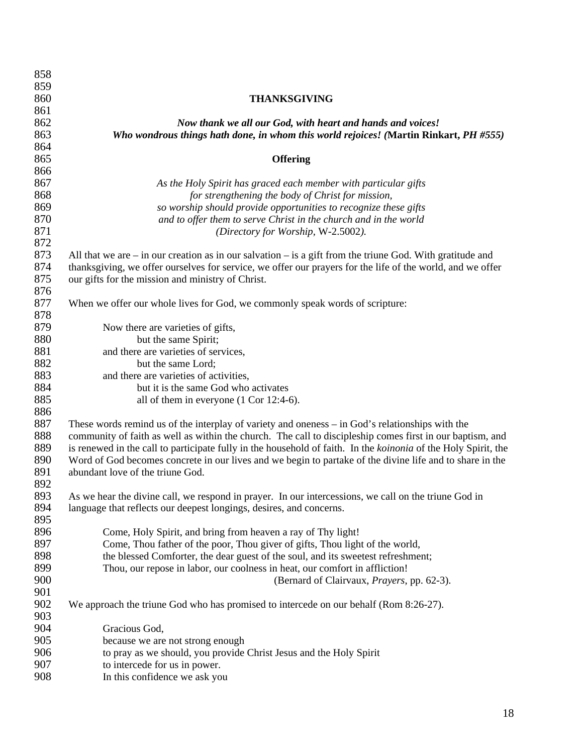| 858 |                                                                                                                |
|-----|----------------------------------------------------------------------------------------------------------------|
| 859 |                                                                                                                |
| 860 | <b>THANKSGIVING</b>                                                                                            |
| 861 |                                                                                                                |
| 862 | Now thank we all our God, with heart and hands and voices!                                                     |
| 863 | Who wondrous things hath done, in whom this world rejoices! (Martin Rinkart, PH #555)                          |
| 864 |                                                                                                                |
| 865 | <b>Offering</b>                                                                                                |
| 866 |                                                                                                                |
| 867 | As the Holy Spirit has graced each member with particular gifts                                                |
| 868 | for strengthening the body of Christ for mission,                                                              |
| 869 | so worship should provide opportunities to recognize these gifts                                               |
| 870 | and to offer them to serve Christ in the church and in the world                                               |
| 871 | (Directory for Worship, W-2.5002).                                                                             |
| 872 |                                                                                                                |
| 873 | All that we are $-$ in our creation as in our salvation $-$ is a gift from the triune God. With gratitude and  |
| 874 | thanksgiving, we offer ourselves for service, we offer our prayers for the life of the world, and we offer     |
| 875 | our gifts for the mission and ministry of Christ.                                                              |
| 876 |                                                                                                                |
| 877 | When we offer our whole lives for God, we commonly speak words of scripture:                                   |
| 878 |                                                                                                                |
| 879 | Now there are varieties of gifts,                                                                              |
| 880 | but the same Spirit;                                                                                           |
| 881 | and there are varieties of services,                                                                           |
| 882 | but the same Lord;                                                                                             |
| 883 | and there are varieties of activities,                                                                         |
| 884 | but it is the same God who activates                                                                           |
| 885 | all of them in everyone $(1 \text{ Cor } 12:4-6)$ .                                                            |
| 886 |                                                                                                                |
| 887 | These words remind us of the interplay of variety and oneness – in God's relationships with the                |
| 888 | community of faith as well as within the church. The call to discipleship comes first in our baptism, and      |
| 889 | is renewed in the call to participate fully in the household of faith. In the koinonia of the Holy Spirit, the |
| 890 | Word of God becomes concrete in our lives and we begin to partake of the divine life and to share in the       |
| 891 | abundant love of the triune God.                                                                               |
| 892 |                                                                                                                |
| 893 | As we hear the divine call, we respond in prayer. In our intercessions, we call on the triune God in           |
| 894 | language that reflects our deepest longings, desires, and concerns.                                            |
| 895 |                                                                                                                |
| 896 | Come, Holy Spirit, and bring from heaven a ray of Thy light!                                                   |
| 897 | Come, Thou father of the poor, Thou giver of gifts, Thou light of the world,                                   |
| 898 | the blessed Comforter, the dear guest of the soul, and its sweetest refreshment;                               |
| 899 | Thou, our repose in labor, our coolness in heat, our comfort in affliction!                                    |
| 900 | (Bernard of Clairvaux, <i>Prayers</i> , pp. 62-3).                                                             |
| 901 |                                                                                                                |
| 902 | We approach the triune God who has promised to intercede on our behalf (Rom 8:26-27).                          |
| 903 |                                                                                                                |
| 904 | Gracious God,                                                                                                  |
| 905 | because we are not strong enough                                                                               |
| 906 | to pray as we should, you provide Christ Jesus and the Holy Spirit                                             |
| 907 | to intercede for us in power.                                                                                  |
| 908 | In this confidence we ask you                                                                                  |
|     |                                                                                                                |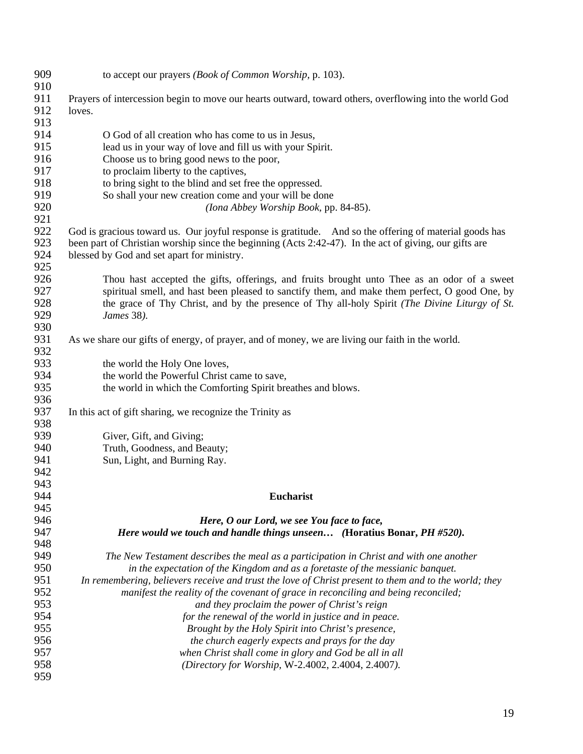| 909 | to accept our prayers (Book of Common Worship, p. 103).                                                 |
|-----|---------------------------------------------------------------------------------------------------------|
| 910 |                                                                                                         |
| 911 | Prayers of intercession begin to move our hearts outward, toward others, overflowing into the world God |
| 912 | loves.                                                                                                  |
| 913 |                                                                                                         |
| 914 | O God of all creation who has come to us in Jesus,                                                      |
| 915 | lead us in your way of love and fill us with your Spirit.                                               |
| 916 | Choose us to bring good news to the poor,                                                               |
| 917 | to proclaim liberty to the captives,                                                                    |
| 918 | to bring sight to the blind and set free the oppressed.                                                 |
| 919 | So shall your new creation come and your will be done                                                   |
| 920 | (Iona Abbey Worship Book, pp. 84-85).                                                                   |
| 921 |                                                                                                         |
| 922 | God is gracious toward us. Our joyful response is gratitude. And so the offering of material goods has  |
| 923 | been part of Christian worship since the beginning (Acts 2:42-47). In the act of giving, our gifts are  |
| 924 | blessed by God and set apart for ministry.                                                              |
| 925 |                                                                                                         |
| 926 | Thou hast accepted the gifts, offerings, and fruits brought unto Thee as an odor of a sweet             |
| 927 | spiritual smell, and hast been pleased to sanctify them, and make them perfect, O good One, by          |
| 928 | the grace of Thy Christ, and by the presence of Thy all-holy Spirit (The Divine Liturgy of St.          |
| 929 | James 38).                                                                                              |
| 930 |                                                                                                         |
| 931 | As we share our gifts of energy, of prayer, and of money, we are living our faith in the world.         |
| 932 |                                                                                                         |
| 933 | the world the Holy One loves,                                                                           |
| 934 | the world the Powerful Christ came to save,                                                             |
| 935 | the world in which the Comforting Spirit breathes and blows.                                            |
| 936 |                                                                                                         |
| 937 | In this act of gift sharing, we recognize the Trinity as                                                |
| 938 |                                                                                                         |
| 939 | Giver, Gift, and Giving;                                                                                |
| 940 | Truth, Goodness, and Beauty;                                                                            |
| 941 | Sun, Light, and Burning Ray.                                                                            |
| 942 |                                                                                                         |
| 943 |                                                                                                         |
| 944 | Eucharist                                                                                               |
| 945 |                                                                                                         |
| 946 | Here, O our Lord, we see You face to face,                                                              |
| 947 | Here would we touch and handle things unseen (Horatius Bonar, PH #520).                                 |
| 948 |                                                                                                         |
| 949 | The New Testament describes the meal as a participation in Christ and with one another                  |
| 950 | in the expectation of the Kingdom and as a foretaste of the messianic banquet.                          |
| 951 | In remembering, believers receive and trust the love of Christ present to them and to the world; they   |
| 952 | manifest the reality of the covenant of grace in reconciling and being reconciled;                      |
| 953 | and they proclaim the power of Christ's reign                                                           |
| 954 | for the renewal of the world in justice and in peace.                                                   |
| 955 | Brought by the Holy Spirit into Christ's presence,                                                      |
| 956 | the church eagerly expects and prays for the day                                                        |
| 957 | when Christ shall come in glory and God be all in all                                                   |
| 958 | (Directory for Worship, W-2.4002, 2.4004, 2.4007).                                                      |
| 959 |                                                                                                         |
|     |                                                                                                         |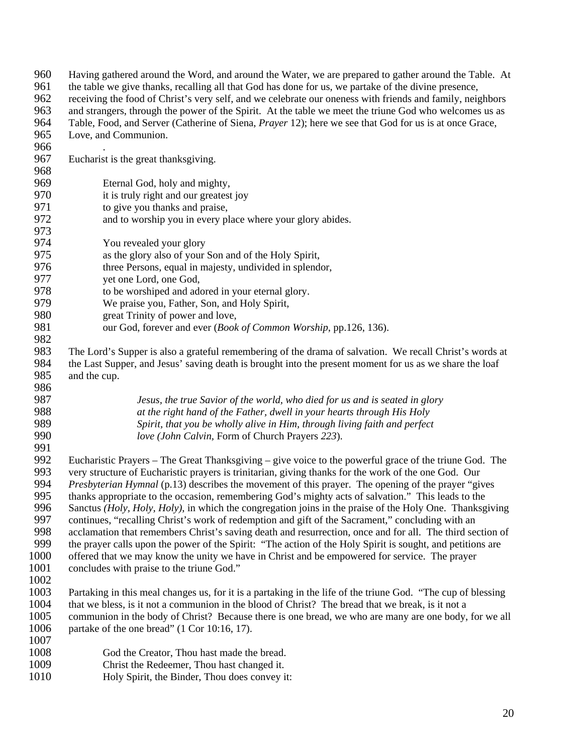| 960  | Having gathered around the Word, and around the Water, we are prepared to gather around the Table. At         |
|------|---------------------------------------------------------------------------------------------------------------|
| 961  | the table we give thanks, recalling all that God has done for us, we partake of the divine presence,          |
| 962  | receiving the food of Christ's very self, and we celebrate our oneness with friends and family, neighbors     |
| 963  | and strangers, through the power of the Spirit. At the table we meet the triune God who welcomes us as        |
| 964  | Table, Food, and Server (Catherine of Siena, <i>Prayer</i> 12); here we see that God for us is at once Grace, |
| 965  | Love, and Communion.                                                                                          |
| 966  |                                                                                                               |
| 967  | Eucharist is the great thanksgiving.                                                                          |
| 968  |                                                                                                               |
| 969  | Eternal God, holy and mighty,                                                                                 |
| 970  | it is truly right and our greatest joy                                                                        |
| 971  | to give you thanks and praise,                                                                                |
| 972  | and to worship you in every place where your glory abides.                                                    |
| 973  |                                                                                                               |
| 974  | You revealed your glory                                                                                       |
| 975  | as the glory also of your Son and of the Holy Spirit,                                                         |
| 976  | three Persons, equal in majesty, undivided in splendor,                                                       |
| 977  | yet one Lord, one God,                                                                                        |
| 978  | to be worshiped and adored in your eternal glory.                                                             |
| 979  | We praise you, Father, Son, and Holy Spirit,                                                                  |
| 980  | great Trinity of power and love,                                                                              |
| 981  | our God, forever and ever (Book of Common Worship, pp.126, 136).                                              |
| 982  |                                                                                                               |
| 983  | The Lord's Supper is also a grateful remembering of the drama of salvation. We recall Christ's words at       |
| 984  | the Last Supper, and Jesus' saving death is brought into the present moment for us as we share the loaf       |
| 985  | and the cup.                                                                                                  |
| 986  |                                                                                                               |
| 987  | Jesus, the true Savior of the world, who died for us and is seated in glory                                   |
| 988  | at the right hand of the Father, dwell in your hearts through His Holy                                        |
| 989  | Spirit, that you be wholly alive in Him, through living faith and perfect                                     |
| 990  | love (John Calvin, Form of Church Prayers 223).                                                               |
| 991  |                                                                                                               |
| 992  | Eucharistic Prayers – The Great Thanksgiving – give voice to the powerful grace of the triune God. The        |
| 993  | very structure of Eucharistic prayers is trinitarian, giving thanks for the work of the one God. Our          |
| 994  | Presbyterian Hymnal (p.13) describes the movement of this prayer. The opening of the prayer "gives            |
| 995  | thanks appropriate to the occasion, remembering God's mighty acts of salvation." This leads to the            |
| 996  | Sanctus (Holy, Holy, Holy), in which the congregation joins in the praise of the Holy One. Thanksgiving       |
| 997  | continues, "recalling Christ's work of redemption and gift of the Sacrament," concluding with an              |
| 998  | acclamation that remembers Christ's saving death and resurrection, once and for all. The third section of     |
| 999  | the prayer calls upon the power of the Spirit: "The action of the Holy Spirit is sought, and petitions are    |
| 1000 | offered that we may know the unity we have in Christ and be empowered for service. The prayer                 |
| 1001 | concludes with praise to the triune God."                                                                     |
| 1002 |                                                                                                               |
| 1003 | Partaking in this meal changes us, for it is a partaking in the life of the triune God. "The cup of blessing  |
| 1004 | that we bless, is it not a communion in the blood of Christ? The bread that we break, is it not a             |
| 1005 | communion in the body of Christ? Because there is one bread, we who are many are one body, for we all         |
| 1006 | partake of the one bread" (1 Cor 10:16, 17).                                                                  |
| 1007 |                                                                                                               |
| 1008 | God the Creator, Thou hast made the bread.                                                                    |
| 1009 | Christ the Redeemer, Thou hast changed it.                                                                    |
| 1010 | Holy Spirit, the Binder, Thou does convey it:                                                                 |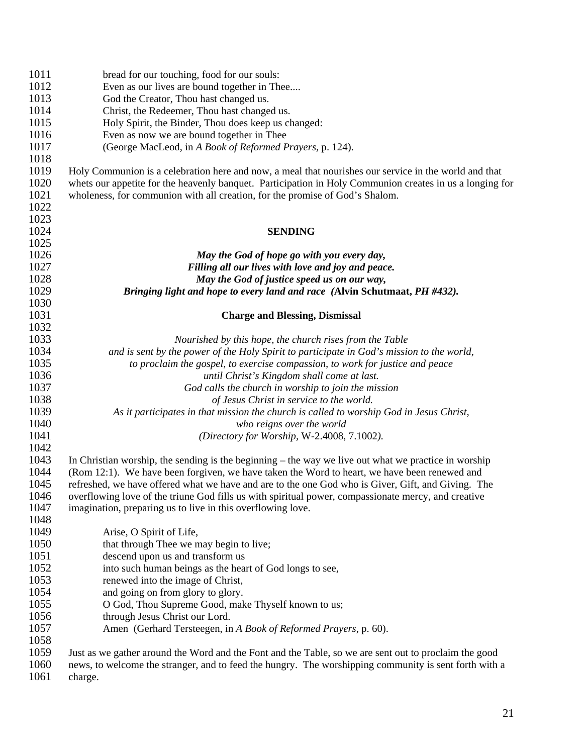| 1011 | bread for our touching, food for our souls:                                                              |
|------|----------------------------------------------------------------------------------------------------------|
| 1012 | Even as our lives are bound together in Thee                                                             |
| 1013 | God the Creator, Thou hast changed us.                                                                   |
| 1014 | Christ, the Redeemer, Thou hast changed us.                                                              |
| 1015 | Holy Spirit, the Binder, Thou does keep us changed:                                                      |
| 1016 | Even as now we are bound together in Thee                                                                |
| 1017 | (George MacLeod, in A Book of Reformed Prayers, p. 124).                                                 |
| 1018 |                                                                                                          |
| 1019 | Holy Communion is a celebration here and now, a meal that nourishes our service in the world and that    |
| 1020 | whets our appetite for the heavenly banquet. Participation in Holy Communion creates in us a longing for |
| 1021 | wholeness, for communion with all creation, for the promise of God's Shalom.                             |
| 1022 |                                                                                                          |
| 1023 |                                                                                                          |
| 1024 | <b>SENDING</b>                                                                                           |
| 1025 |                                                                                                          |
| 1026 | May the God of hope go with you every day,                                                               |
| 1027 | Filling all our lives with love and joy and peace.                                                       |
| 1028 | May the God of justice speed us on our way,                                                              |
| 1029 |                                                                                                          |
| 1030 | Bringing light and hope to every land and race (Alvin Schutmaat, PH #432).                               |
|      |                                                                                                          |
| 1031 | <b>Charge and Blessing, Dismissal</b>                                                                    |
| 1032 |                                                                                                          |
| 1033 | Nourished by this hope, the church rises from the Table                                                  |
| 1034 | and is sent by the power of the Holy Spirit to participate in God's mission to the world,                |
| 1035 | to proclaim the gospel, to exercise compassion, to work for justice and peace                            |
| 1036 | until Christ's Kingdom shall come at last.                                                               |
| 1037 | God calls the church in worship to join the mission                                                      |
| 1038 | of Jesus Christ in service to the world.                                                                 |
| 1039 | As it participates in that mission the church is called to worship God in Jesus Christ,                  |
| 1040 | who reigns over the world                                                                                |
| 1041 | (Directory for Worship, W-2.4008, 7.1002).                                                               |
| 1042 |                                                                                                          |
| 1043 | In Christian worship, the sending is the beginning – the way we live out what we practice in worship     |
| 1044 | (Rom 12:1). We have been forgiven, we have taken the Word to heart, we have been renewed and             |
| 1045 | refreshed, we have offered what we have and are to the one God who is Giver, Gift, and Giving. The       |
| 1046 | overflowing love of the triune God fills us with spiritual power, compassionate mercy, and creative      |
| 1047 | imagination, preparing us to live in this overflowing love.                                              |
| 1048 |                                                                                                          |
| 1049 | Arise, O Spirit of Life,                                                                                 |
| 1050 | that through Thee we may begin to live;                                                                  |
| 1051 | descend upon us and transform us                                                                         |
| 1052 | into such human beings as the heart of God longs to see,                                                 |
| 1053 | renewed into the image of Christ,                                                                        |
| 1054 | and going on from glory to glory.                                                                        |
| 1055 | O God, Thou Supreme Good, make Thyself known to us;                                                      |
| 1056 | through Jesus Christ our Lord.                                                                           |
| 1057 | Amen (Gerhard Tersteegen, in A Book of Reformed Prayers, p. 60).                                         |
| 1058 |                                                                                                          |
| 1059 | Just as we gather around the Word and the Font and the Table, so we are sent out to proclaim the good    |
| 1060 | news, to welcome the stranger, and to feed the hungry. The worshipping community is sent forth with a    |
| 1061 | charge.                                                                                                  |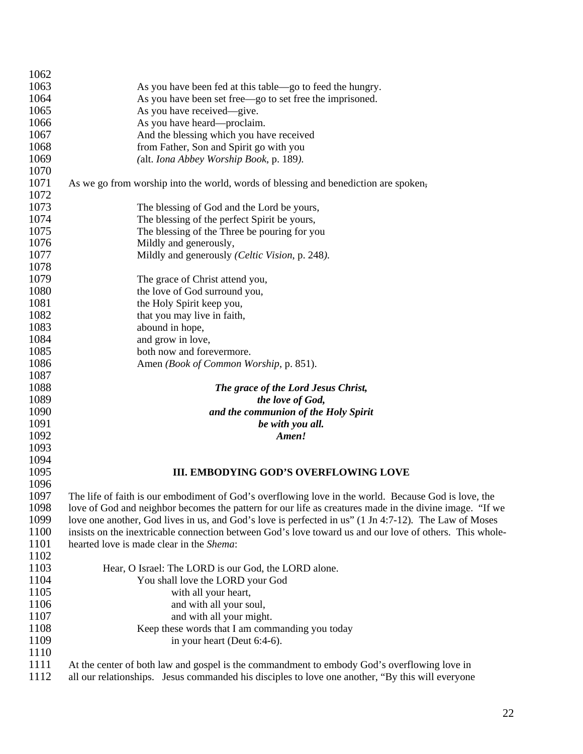| 1062 |                                                                                                         |
|------|---------------------------------------------------------------------------------------------------------|
| 1063 | As you have been fed at this table—go to feed the hungry.                                               |
| 1064 | As you have been set free—go to set free the imprisoned.                                                |
| 1065 | As you have received—give.                                                                              |
| 1066 | As you have heard—proclaim.                                                                             |
| 1067 | And the blessing which you have received                                                                |
| 1068 | from Father, Son and Spirit go with you                                                                 |
| 1069 | (alt. Iona Abbey Worship Book, p. 189).                                                                 |
| 1070 |                                                                                                         |
| 1071 | As we go from worship into the world, words of blessing and benediction are spoken,                     |
| 1072 |                                                                                                         |
| 1073 | The blessing of God and the Lord be yours,                                                              |
| 1074 | The blessing of the perfect Spirit be yours,                                                            |
| 1075 | The blessing of the Three be pouring for you                                                            |
| 1076 | Mildly and generously,                                                                                  |
| 1077 | Mildly and generously (Celtic Vision, p. 248).                                                          |
| 1078 |                                                                                                         |
| 1079 | The grace of Christ attend you,                                                                         |
| 1080 | the love of God surround you,                                                                           |
| 1081 | the Holy Spirit keep you,                                                                               |
| 1082 | that you may live in faith,                                                                             |
| 1083 | abound in hope,                                                                                         |
| 1084 | and grow in love,                                                                                       |
| 1085 | both now and forevermore.                                                                               |
| 1086 | Amen (Book of Common Worship, p. 851).                                                                  |
| 1087 |                                                                                                         |
| 1088 | The grace of the Lord Jesus Christ,                                                                     |
| 1089 | the love of God,                                                                                        |
| 1090 | and the communion of the Holy Spirit                                                                    |
| 1091 | be with you all.                                                                                        |
| 1092 | Amen!                                                                                                   |
| 1093 |                                                                                                         |
| 1094 |                                                                                                         |
| 1095 | <b>III. EMBODYING GOD'S OVERFLOWING LOVE</b>                                                            |
| 1096 |                                                                                                         |
| 1097 | The life of faith is our embodiment of God's overflowing love in the world. Because God is love, the    |
| 1098 | love of God and neighbor becomes the pattern for our life as creatures made in the divine image. "If we |
| 1099 | love one another, God lives in us, and God's love is perfected in us" (1 Jn 4:7-12). The Law of Moses   |
| 1100 | insists on the inextricable connection between God's love toward us and our love of others. This whole- |
| 1101 | hearted love is made clear in the Shema:                                                                |
| 1102 |                                                                                                         |
| 1103 | Hear, O Israel: The LORD is our God, the LORD alone.                                                    |
| 1104 | You shall love the LORD your God                                                                        |
| 1105 | with all your heart,                                                                                    |
| 1106 | and with all your soul,                                                                                 |
| 1107 | and with all your might.                                                                                |
| 1108 | Keep these words that I am commanding you today                                                         |
| 1109 | in your heart (Deut 6:4-6).                                                                             |
| 1110 |                                                                                                         |
| 1111 | At the center of both law and gospel is the commandment to embody God's overflowing love in             |

1112 all our relationships. Jesus commanded his disciples to love one another, "By this will everyone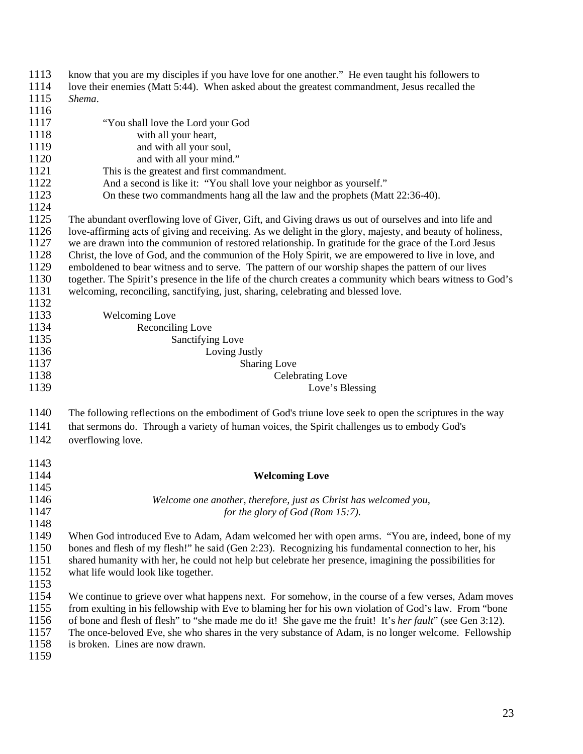| 1113 | know that you are my disciples if you have love for one another." He even taught his followers to                 |
|------|-------------------------------------------------------------------------------------------------------------------|
| 1114 | love their enemies (Matt 5:44). When asked about the greatest commandment, Jesus recalled the                     |
| 1115 | Shema.                                                                                                            |
| 1116 |                                                                                                                   |
| 1117 | "You shall love the Lord your God                                                                                 |
| 1118 | with all your heart,                                                                                              |
| 1119 | and with all your soul,                                                                                           |
| 1120 | and with all your mind."                                                                                          |
| 1121 | This is the greatest and first commandment.                                                                       |
| 1122 | And a second is like it: "You shall love your neighbor as yourself."                                              |
| 1123 | On these two commandments hang all the law and the prophets (Matt 22:36-40).                                      |
| 1124 |                                                                                                                   |
| 1125 | The abundant overflowing love of Giver, Gift, and Giving draws us out of ourselves and into life and              |
| 1126 | love-affirming acts of giving and receiving. As we delight in the glory, majesty, and beauty of holiness,         |
| 1127 | we are drawn into the communion of restored relationship. In gratitude for the grace of the Lord Jesus            |
| 1128 | Christ, the love of God, and the communion of the Holy Spirit, we are empowered to live in love, and              |
| 1129 | emboldened to bear witness and to serve. The pattern of our worship shapes the pattern of our lives               |
| 1130 | together. The Spirit's presence in the life of the church creates a community which bears witness to God's        |
| 1131 | welcoming, reconciling, sanctifying, just, sharing, celebrating and blessed love.                                 |
| 1132 |                                                                                                                   |
| 1133 | <b>Welcoming Love</b>                                                                                             |
| 1134 | Reconciling Love                                                                                                  |
| 1135 | <b>Sanctifying Love</b>                                                                                           |
| 1136 | Loving Justly                                                                                                     |
| 1137 | <b>Sharing Love</b>                                                                                               |
| 1138 | <b>Celebrating Love</b>                                                                                           |
| 1139 | Love's Blessing                                                                                                   |
|      |                                                                                                                   |
| 1140 | The following reflections on the embodiment of God's triune love seek to open the scriptures in the way           |
| 1141 | that sermons do. Through a variety of human voices, the Spirit challenges us to embody God's                      |
| 1142 | overflowing love.                                                                                                 |
|      |                                                                                                                   |
| 1143 |                                                                                                                   |
| 1144 | <b>Welcoming Love</b>                                                                                             |
| 1145 |                                                                                                                   |
| 1146 | Welcome one another, therefore, just as Christ has welcomed you,                                                  |
| 1147 | for the glory of God (Rom 15:7).                                                                                  |
| 1148 |                                                                                                                   |
| 1149 | When God introduced Eve to Adam, Adam welcomed her with open arms. "You are, indeed, bone of my                   |
| 1150 | bones and flesh of my flesh!" he said (Gen 2:23). Recognizing his fundamental connection to her, his              |
| 1151 | shared humanity with her, he could not help but celebrate her presence, imagining the possibilities for           |
| 1152 | what life would look like together.                                                                               |
| 1153 |                                                                                                                   |
| 1154 | We continue to grieve over what happens next. For somehow, in the course of a few verses, Adam moves              |
| 1155 | from exulting in his fellowship with Eve to blaming her for his own violation of God's law. From "bone            |
| 1156 | of bone and flesh of flesh" to "she made me do it! She gave me the fruit! It's <i>her fault</i> " (see Gen 3:12). |
| 1157 | The once-beloved Eve, she who shares in the very substance of Adam, is no longer welcome. Fellowship              |
| 1158 | is broken. Lines are now drawn.                                                                                   |
|      |                                                                                                                   |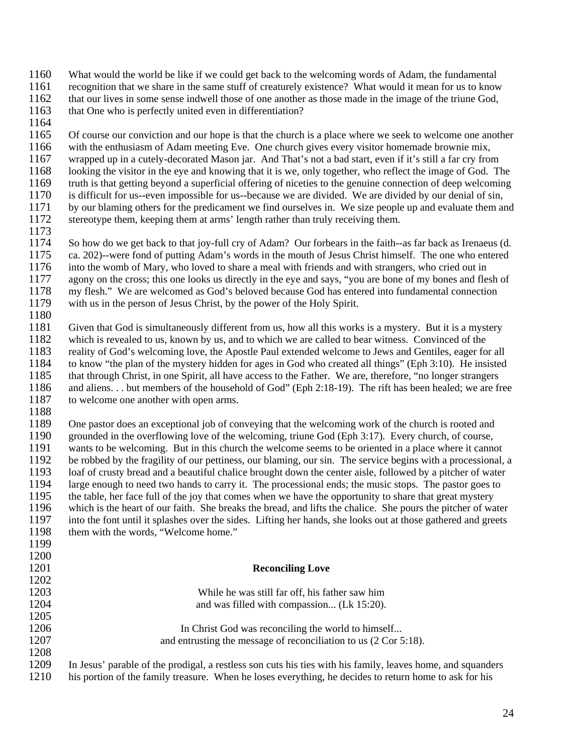- 1160 What would the world be like if we could get back to the welcoming words of Adam, the fundamental
- 1161 recognition that we share in the same stuff of creaturely existence? What would it mean for us to know
- 1162 that our lives in some sense indwell those of one another as those made in the image of the triune God,  $1163$  that One who is perfectly united even in differentiation? that One who is perfectly united even in differentiation?
- 1164

1165 Of course our conviction and our hope is that the church is a place where we seek to welcome one another 1166 with the enthusiasm of Adam meeting Eve. One church gives every visitor homemade brownie mix, 1167 wrapped up in a cutely-decorated Mason jar. And That's not a bad start, even if it's still a far cry from 1168 looking the visitor in the eye and knowing that it is we, only together, who reflect the image of God. The 1169 truth is that getting beyond a superficial offering of niceties to the genuine connection of deep welcoming<br>1170 is difficult for us--even impossible for us--because we are divided. We are divided by our denial of sin is difficult for us--even impossible for us--because we are divided. We are divided by our denial of sin, 1171 by our blaming others for the predicament we find ourselves in. We size people up and evaluate them and 1172 stereotype them, keeping them at arms' length rather than truly receiving them.

1173

1174 So how do we get back to that joy-full cry of Adam? Our forbears in the faith--as far back as Irenaeus (d. 1175 ca. 202)--were fond of putting Adam's words in the mouth of Jesus Christ himself. The one who entered 1176 into the womb of Mary, who loved to share a meal with friends and with strangers, who cried out in 1177 agony on the cross: this one looks us directly in the eve and savs. "vou are bone of my bones and fle 1177 agony on the cross; this one looks us directly in the eye and says, "you are bone of my bones and flesh of 1178 my flesh." We are welcomed as God's beloved because God has entered into fundamental connection my flesh." We are welcomed as God's beloved because God has entered into fundamental connection 1179 with us in the person of Jesus Christ, by the power of the Holy Spirit.

1180

1181 Given that God is simultaneously different from us, how all this works is a mystery. But it is a mystery 1182 which is revealed to us, known by us, and to which we are called to bear witness. Convinced of the reality of God's welcoming love, the Apostle Paul extended welcome to Jews and Gentiles, eager for 1183 reality of God's welcoming love, the Apostle Paul extended welcome to Jews and Gentiles, eager for all 1184 to know "the plan of the mystery hidden for ages in God who created all things" (Eph 3:10). He insisted 1185 that through Christ, in one Spirit, all have access to the Father. We are, therefore, "no longer strangers 1186 and aliens. . . but members of the household of God" (Eph 2:18-19). The rift has been healed; we are free<br>1187 to welcome one another with one arms. to welcome one another with open arms.

1188

1200

1202

1205

1208

1189 One pastor does an exceptional job of conveying that the welcoming work of the church is rooted and 1190 grounded in the overflowing love of the welcoming, triune God (Eph 3:17). Every church, of course, 1191 wants to be welcoming. But in this church the welcome seems to be oriented in a place where it cannot 1192 be robbed by the fragility of our pettiness, our blaming, our sin. The service begins with a processional. 1192 be robbed by the fragility of our pettiness, our blaming, our sin. The service begins with a processional, a 1193 loaf of crusty bread and a beautiful chalice brought down the center aisle, followed by a pitcher of wa 1193 loaf of crusty bread and a beautiful chalice brought down the center aisle, followed by a pitcher of water<br>1194 large enough to need two hands to carry it. The processional ends: the music stops. The pastor goes to large enough to need two hands to carry it. The processional ends; the music stops. The pastor goes to 1195 the table, her face full of the joy that comes when we have the opportunity to share that great mystery 1196 which is the heart of our faith. She breaks the bread, and lifts the chalice. She pours the pitcher of water<br>1197 into the font until it splashes over the sides. Lifting her hands, she looks out at those gathered and 1197 into the font until it splashes over the sides. Lifting her hands, she looks out at those gathered and greets 1198 them with the words, "Welcome home." them with the words, "Welcome home." 1199

### 1201 **Reconciling Love**

1203 While he was still far off, his father saw him 1204 **and was filled with compassion...** (Lk 15:20).

- 1206 In Christ God was reconciling the world to himself...<br>1207 and entrusting the message of reconciliation to us (2 Cor 5) and entrusting the message of reconciliation to us  $(2 \text{ Cor } 5:18)$ .
- 1209 In Jesus' parable of the prodigal, a restless son cuts his ties with his family, leaves home, and squanders 1210 his portion of the family treasure. When he loses everything, he decides to return home to ask for his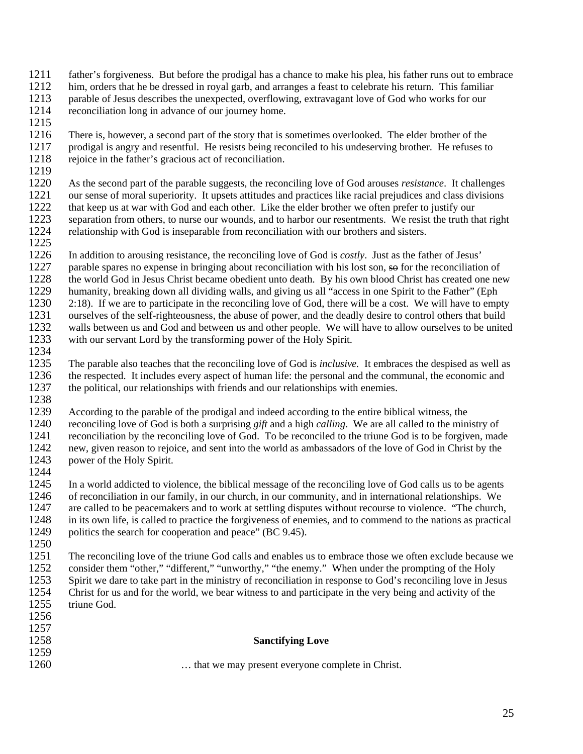- 1211 father's forgiveness. But before the prodigal has a chance to make his plea, his father runs out to embrace
- 1212 him, orders that he be dressed in royal garb, and arranges a feast to celebrate his return. This familiar 1213 parable of Jesus describes the unexpected, overflowing, extravagant love of God who works for our reconciliation long in advance of our iourney home.
- reconciliation long in advance of our journey home.
- 1215

1216 There is, however, a second part of the story that is sometimes overlooked. The elder brother of the 1217 prodigal is angry and resentful. He resists being reconciled to his undeserving brother. He refuses to 1218 rejoice in the father's gracious act of reconciliation.

1219

1220 As the second part of the parable suggests, the reconciling love of God arouses *resistance*. It challenges our sense of moral superiority. It upsets attitudes and practices like racial prejudices and class divisions 1221 our sense of moral superiority. It upsets attitudes and practices like racial prejudices and class divisions that keep us at war with God and each other. Like the elder brother we often prefer to justify our that keep us at war with God and each other. Like the elder brother we often prefer to justify our 1223 separation from others, to nurse our wounds, and to harbor our resentments. We resist the truth that right 1224 relationship with God is inseparable from reconciliation with our brothers and sisters. relationship with God is inseparable from reconciliation with our brothers and sisters.

1225

1226 In addition to arousing resistance, the reconciling love of God is *costly*. Just as the father of Jesus' parable spares no expense in bringing about reconciliation with his lost son, so for the reconciliation 1227 parable spares no expense in bringing about reconciliation with his lost son, so for the reconciliation of the world God in Jesus Christ became obedient unto death. By his own blood Christ has created one net 1228 the world God in Jesus Christ became obedient unto death. By his own blood Christ has created one new humanity, breaking down all dividing walls, and giving us all "access in one Spirit to the Father" (Eph humanity, breaking down all dividing walls, and giving us all "access in one Spirit to the Father" (Eph 2:18). If we are to participate in the reconciling love of God, there will be a cost. We will have to empty ourselves of the self-righteousness, the abuse of power, and the deadly desire to control others that build 1231 ourselves of the self-righteousness, the abuse of power, and the deadly desire to control others that build 1232 walls between us and God and between us and other people. We will have to allow ourselves to be united 1233 with our servant Lord by the transforming power of the Holy Spirit.

- 1234<br>1235 1235 The parable also teaches that the reconciling love of God is *inclusive.* It embraces the despised as well as 1236 the respected. It includes every aspect of human life: the personal and the communal, the economic and 1237 the political, our relationships with friends and our relationships with enemies. the political, our relationships with friends and our relationships with enemies.
- 1238<br>1239

According to the parable of the prodigal and indeed according to the entire biblical witness, the 1240 reconciling love of God is both a surprising *gift* and a high *calling*. We are all called to the ministry of 1241 reconciliation by the reconciling love of God. To be reconciled to the triune God is to be forgiven, made 1242 new, given reason to rejoice, and sent into the world as ambassadors of the love of God in Christ by the 1243 power of the Holy Spirit.

1244<br>1245 In a world addicted to violence, the biblical message of the reconciling love of God calls us to be agents 1246 of reconciliation in our family, in our church, in our community, and in international relationships. We 1247 are called to be peacemakers and to work at settling disputes without recourse to violence. "The church, 1248 in its own life, is called to practice the forgiveness of enemies, and to commend to the nations as practical 1249 politics the search for cooperation and peace" (BC 9.45). 1250

1251 The reconciling love of the triune God calls and enables us to embrace those we often exclude because we 1252 consider them "other," "different," "unworthy," "the enemy." When under the prompting of the Holy 1253 Spirit we dare to take part in the ministry of reconciliation in response to God's reconciling love in Jesus 1254 Christ for us and for the world, we bear witness to and participate in the very being and activity of the 1255 triune God.

| 1256 |                                                  |
|------|--------------------------------------------------|
| 1257 |                                                  |
| 1258 | <b>Sanctifying Love</b>                          |
| 1259 |                                                  |
| 1260 | that we may present everyone complete in Christ. |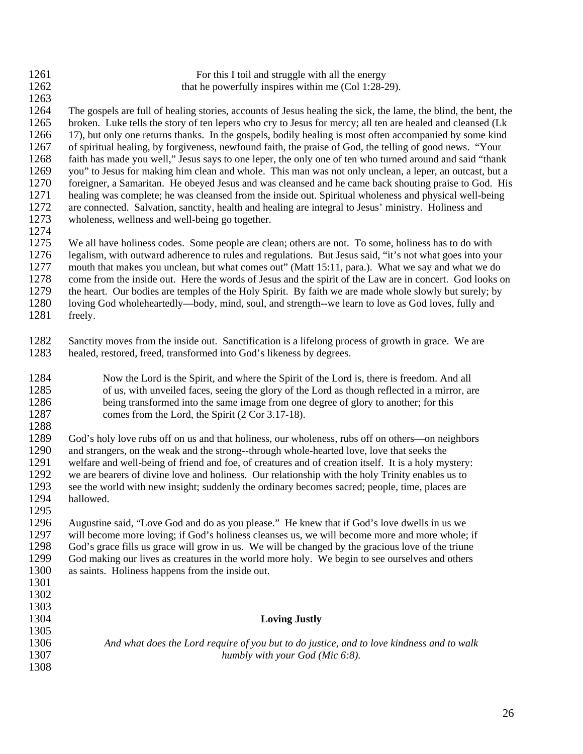| 1261<br>1262 | For this I toil and struggle with all the energy<br>that he powerfully inspires within me (Col 1:28-29).        |
|--------------|-----------------------------------------------------------------------------------------------------------------|
| 1263         |                                                                                                                 |
| 1264         | The gospels are full of healing stories, accounts of Jesus healing the sick, the lame, the blind, the bent, the |
| 1265         | broken. Luke tells the story of ten lepers who cry to Jesus for mercy; all ten are healed and cleansed (Lk      |
| 1266         | 17), but only one returns thanks. In the gospels, bodily healing is most often accompanied by some kind         |
| 1267         | of spiritual healing, by forgiveness, newfound faith, the praise of God, the telling of good news. "Your        |
| 1268         | faith has made you well," Jesus says to one leper, the only one of ten who turned around and said "thank        |
| 1269         | you" to Jesus for making him clean and whole. This man was not only unclean, a leper, an outcast, but a         |
| 1270         | foreigner, a Samaritan. He obeyed Jesus and was cleansed and he came back shouting praise to God. His           |
| 1271         | healing was complete; he was cleansed from the inside out. Spiritual wholeness and physical well-being          |
| 1272         | are connected. Salvation, sanctity, health and healing are integral to Jesus' ministry. Holiness and            |
| 1273         | wholeness, wellness and well-being go together.                                                                 |
| 1274         |                                                                                                                 |
| 1275         | We all have holiness codes. Some people are clean; others are not. To some, holiness has to do with             |
| 1276         | legalism, with outward adherence to rules and regulations. But Jesus said, "it's not what goes into your        |
| 1277         | mouth that makes you unclean, but what comes out" (Matt 15:11, para.). What we say and what we do               |
| 1278         | come from the inside out. Here the words of Jesus and the spirit of the Law are in concert. God looks on        |
| 1279         | the heart. Our bodies are temples of the Holy Spirit. By faith we are made whole slowly but surely; by          |
| 1280         | loving God wholeheartedly—body, mind, soul, and strength--we learn to love as God loves, fully and              |
| 1281         | freely.                                                                                                         |
|              |                                                                                                                 |
| 1282         | Sanctity moves from the inside out. Sanctification is a lifelong process of growth in grace. We are             |
| 1283         | healed, restored, freed, transformed into God's likeness by degrees.                                            |
|              |                                                                                                                 |
| 1284         | Now the Lord is the Spirit, and where the Spirit of the Lord is, there is freedom. And all                      |
| 1285         | of us, with unveiled faces, seeing the glory of the Lord as though reflected in a mirror, are                   |
| 1286         | being transformed into the same image from one degree of glory to another; for this                             |
| 1287         | comes from the Lord, the Spirit (2 Cor 3.17-18).                                                                |
| 1288         |                                                                                                                 |
| 1289         | God's holy love rubs off on us and that holiness, our wholeness, rubs off on others—on neighbors                |
| 1290         | and strangers, on the weak and the strong--through whole-hearted love, love that seeks the                      |
| 1291         | welfare and well-being of friend and foe, of creatures and of creation itself. It is a holy mystery:            |
| 1292         | we are bearers of divine love and holiness. Our relationship with the holy Trinity enables us to                |
| 1293         | see the world with new insight; suddenly the ordinary becomes sacred; people, time, places are                  |
| 1294         | hallowed.                                                                                                       |
| 1295         |                                                                                                                 |
| 1296         | Augustine said, "Love God and do as you please." He knew that if God's love dwells in us we                     |
| 1297         | will become more loving; if God's holiness cleanses us, we will become more and more whole; if                  |
| 1298         | God's grace fills us grace will grow in us. We will be changed by the gracious love of the triune               |
| 1299         | God making our lives as creatures in the world more holy. We begin to see ourselves and others                  |
| 1300         | as saints. Holiness happens from the inside out.                                                                |
| 1301         |                                                                                                                 |
| 1302         |                                                                                                                 |
| 1303         |                                                                                                                 |
| 1304         | <b>Loving Justly</b>                                                                                            |
| 1305         |                                                                                                                 |
| 1306         | And what does the Lord require of you but to do justice, and to love kindness and to walk                       |
| 1307         | humbly with your God (Mic 6:8).                                                                                 |
| 1308         |                                                                                                                 |
|              |                                                                                                                 |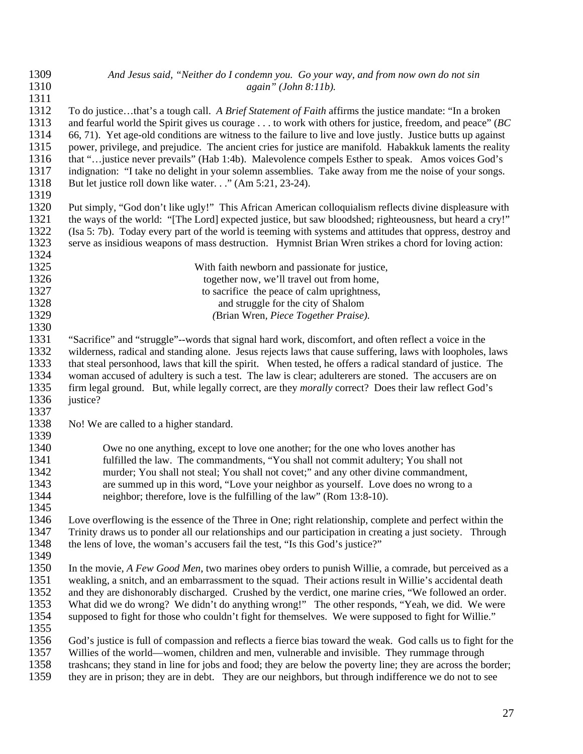| 1309 | And Jesus said, "Neither do I condemn you. Go your way, and from now own do not sin                           |
|------|---------------------------------------------------------------------------------------------------------------|
| 1310 | $again$ " (John 8:11b).                                                                                       |
| 1311 |                                                                                                               |
| 1312 | To do justicethat's a tough call. A Brief Statement of Faith affirms the justice mandate: "In a broken        |
| 1313 | and fearful world the Spirit gives us courage to work with others for justice, freedom, and peace" (BC        |
| 1314 | 66, 71). Yet age-old conditions are witness to the failure to live and love justly. Justice butts up against  |
| 1315 | power, privilege, and prejudice. The ancient cries for justice are manifold. Habakkuk laments the reality     |
| 1316 | that "justice never prevails" (Hab 1:4b). Malevolence compels Esther to speak. Amos voices God's              |
| 1317 | indignation: "I take no delight in your solemn assemblies. Take away from me the noise of your songs.         |
| 1318 | But let justice roll down like water" (Am 5:21, 23-24).                                                       |
| 1319 |                                                                                                               |
| 1320 | Put simply, "God don't like ugly!" This African American colloquialism reflects divine displeasure with       |
| 1321 | the ways of the world: "[The Lord] expected justice, but saw bloodshed; righteousness, but heard a cry!"      |
| 1322 | (Isa 5: 7b). Today every part of the world is teeming with systems and attitudes that oppress, destroy and    |
| 1323 | serve as insidious weapons of mass destruction. Hymnist Brian Wren strikes a chord for loving action:         |
| 1324 |                                                                                                               |
| 1325 | With faith newborn and passionate for justice,                                                                |
| 1326 | together now, we'll travel out from home,                                                                     |
| 1327 |                                                                                                               |
| 1328 | to sacrifice the peace of calm uprightness,                                                                   |
| 1329 | and struggle for the city of Shalom                                                                           |
| 1330 | (Brian Wren, Piece Together Praise).                                                                          |
|      |                                                                                                               |
| 1331 | "Sacrifice" and "struggle"--words that signal hard work, discomfort, and often reflect a voice in the         |
| 1332 | wilderness, radical and standing alone. Jesus rejects laws that cause suffering, laws with loopholes, laws    |
| 1333 | that steal personhood, laws that kill the spirit. When tested, he offers a radical standard of justice. The   |
| 1334 | woman accused of adultery is such a test. The law is clear; adulterers are stoned. The accusers are on        |
| 1335 | firm legal ground. But, while legally correct, are they <i>morally</i> correct? Does their law reflect God's  |
| 1336 | justice?                                                                                                      |
| 1337 |                                                                                                               |
| 1338 | No! We are called to a higher standard.                                                                       |
| 1339 |                                                                                                               |
| 1340 | Owe no one anything, except to love one another; for the one who loves another has                            |
| 1341 | fulfilled the law. The commandments, "You shall not commit adultery; You shall not                            |
| 1342 | murder; You shall not steal; You shall not covet;" and any other divine commandment,                          |
| 1343 | are summed up in this word, "Love your neighbor as yourself. Love does no wrong to a                          |
| 1344 | neighbor; therefore, love is the fulfilling of the law" (Rom 13:8-10).                                        |
| 1345 |                                                                                                               |
| 1346 | Love overflowing is the essence of the Three in One; right relationship, complete and perfect within the      |
| 1347 | Trinity draws us to ponder all our relationships and our participation in creating a just society. Through    |
| 1348 | the lens of love, the woman's accusers fail the test, "Is this God's justice?"                                |
| 1349 |                                                                                                               |
| 1350 | In the movie, A Few Good Men, two marines obey orders to punish Willie, a comrade, but perceived as a         |
| 1351 | weakling, a snitch, and an embarrassment to the squad. Their actions result in Willie's accidental death      |
| 1352 | and they are dishonorably discharged. Crushed by the verdict, one marine cries, "We followed an order.        |
| 1353 | What did we do wrong? We didn't do anything wrong!" The other responds, "Yeah, we did. We were                |
| 1354 | supposed to fight for those who couldn't fight for themselves. We were supposed to fight for Willie."         |
| 1355 |                                                                                                               |
| 1356 | God's justice is full of compassion and reflects a fierce bias toward the weak. God calls us to fight for the |
| 1357 | Willies of the world—women, children and men, vulnerable and invisible. They rummage through                  |
| 1358 | trashcans; they stand in line for jobs and food; they are below the poverty line; they are across the border; |
| 1359 | they are in prison; they are in debt. They are our neighbors, but through indifference we do not to see       |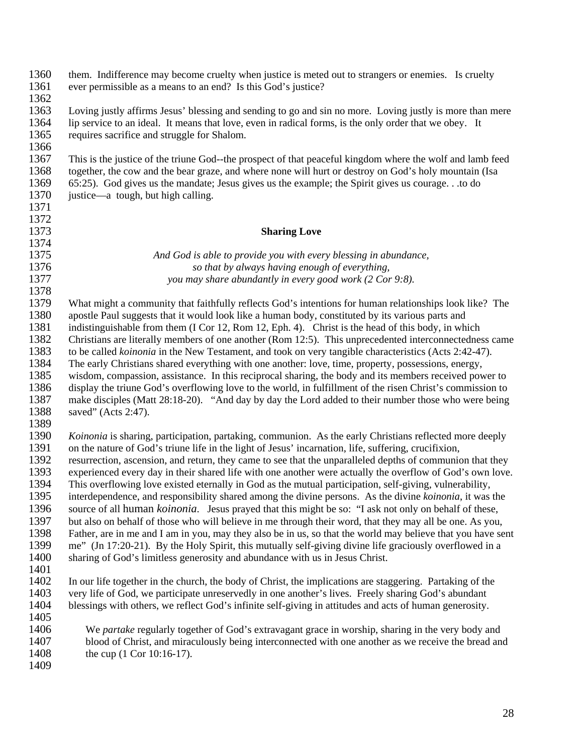| 1360<br>1361 | them. Indifference may become cruelty when justice is meted out to strangers or enemies. Is cruelty<br>ever permissible as a means to an end? Is this God's justice? |
|--------------|----------------------------------------------------------------------------------------------------------------------------------------------------------------------|
| 1362         |                                                                                                                                                                      |
| 1363         | Loving justly affirms Jesus' blessing and sending to go and sin no more. Loving justly is more than mere                                                             |
| 1364         | lip service to an ideal. It means that love, even in radical forms, is the only order that we obey. It                                                               |
| 1365         | requires sacrifice and struggle for Shalom.                                                                                                                          |
| 1366         |                                                                                                                                                                      |
| 1367         | This is the justice of the triune God--the prospect of that peaceful kingdom where the wolf and lamb feed                                                            |
| 1368         | together, the cow and the bear graze, and where none will hurt or destroy on God's holy mountain (Isa                                                                |
| 1369         | 65:25). God gives us the mandate; Jesus gives us the example; the Spirit gives us courage.to do                                                                      |
| 1370         | justice—a tough, but high calling.                                                                                                                                   |
| 1371         |                                                                                                                                                                      |
| 1372         |                                                                                                                                                                      |
| 1373         |                                                                                                                                                                      |
|              | <b>Sharing Love</b>                                                                                                                                                  |
| 1374         |                                                                                                                                                                      |
| 1375         | And God is able to provide you with every blessing in abundance,                                                                                                     |
| 1376         | so that by always having enough of everything,                                                                                                                       |
| 1377         | you may share abundantly in every good work (2 Cor 9:8).                                                                                                             |
| 1378         |                                                                                                                                                                      |
| 1379         | What might a community that faithfully reflects God's intentions for human relationships look like? The                                                              |
| 1380         | apostle Paul suggests that it would look like a human body, constituted by its various parts and                                                                     |
| 1381         | indistinguishable from them (I Cor 12, Rom 12, Eph. 4). Christ is the head of this body, in which                                                                    |
| 1382         | Christians are literally members of one another (Rom 12:5). This unprecedented interconnectedness came                                                               |
| 1383         | to be called koinonia in the New Testament, and took on very tangible characteristics (Acts 2:42-47).                                                                |
| 1384         | The early Christians shared everything with one another: love, time, property, possessions, energy,                                                                  |
| 1385         | wisdom, compassion, assistance. In this reciprocal sharing, the body and its members received power to                                                               |
| 1386         | display the triune God's overflowing love to the world, in fulfillment of the risen Christ's commission to                                                           |
| 1387         | make disciples (Matt 28:18-20). "And day by day the Lord added to their number those who were being                                                                  |
| 1388         | saved" (Acts 2:47).                                                                                                                                                  |
| 1389         |                                                                                                                                                                      |
| 1390         | Koinonia is sharing, participation, partaking, communion. As the early Christians reflected more deeply                                                              |
| 1391         | on the nature of God's triune life in the light of Jesus' incarnation, life, suffering, crucifixion,                                                                 |
| 1392         | resurrection, ascension, and return, they came to see that the unparalleled depths of communion that they                                                            |
| 1393         | experienced every day in their shared life with one another were actually the overflow of God's own love.                                                            |
| 1394         | This overflowing love existed eternally in God as the mutual participation, self-giving, vulnerability,                                                              |
| 1395         | interdependence, and responsibility shared among the divine persons. As the divine koinonia, it was the                                                              |
| 1396         | source of all human <i>koinonia</i> . Jesus prayed that this might be so: "I ask not only on behalf of these,                                                        |
| 1397         | but also on behalf of those who will believe in me through their word, that they may all be one. As you,                                                             |
| 1398         | Father, are in me and I am in you, may they also be in us, so that the world may believe that you have sent                                                          |
| 1399         | me" (Jn 17:20-21). By the Holy Spirit, this mutually self-giving divine life graciously overflowed in a                                                              |
| 1400         | sharing of God's limitless generosity and abundance with us in Jesus Christ.                                                                                         |
| 1401         |                                                                                                                                                                      |
| 1402         | In our life together in the church, the body of Christ, the implications are staggering. Partaking of the                                                            |
| 1403         | very life of God, we participate unreservedly in one another's lives. Freely sharing God's abundant                                                                  |
| 1404         | blessings with others, we reflect God's infinite self-giving in attitudes and acts of human generosity.                                                              |
| 1405         |                                                                                                                                                                      |
| 1406         |                                                                                                                                                                      |
| 1407         | We partake regularly together of God's extravagant grace in worship, sharing in the very body and                                                                    |
|              | blood of Christ, and miraculously being interconnected with one another as we receive the bread and                                                                  |
| 1408         | the cup (1 Cor 10:16-17).                                                                                                                                            |
| 1409         |                                                                                                                                                                      |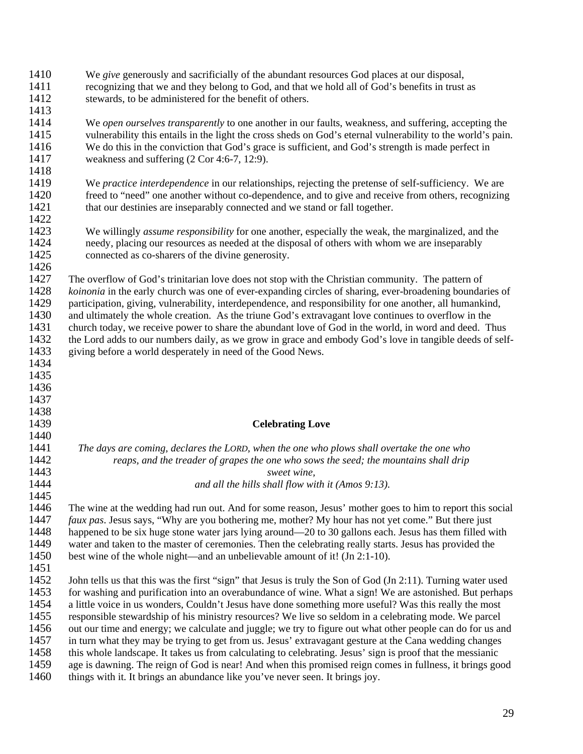| 1410<br>1411<br>1412<br>1413 | We give generously and sacrificially of the abundant resources God places at our disposal,<br>recognizing that we and they belong to God, and that we hold all of God's benefits in trust as<br>stewards, to be administered for the benefit of others. |
|------------------------------|---------------------------------------------------------------------------------------------------------------------------------------------------------------------------------------------------------------------------------------------------------|
| 1414                         | We open ourselves transparently to one another in our faults, weakness, and suffering, accepting the                                                                                                                                                    |
| 1415                         | vulnerability this entails in the light the cross sheds on God's eternal vulnerability to the world's pain.                                                                                                                                             |
| 1416                         | We do this in the conviction that God's grace is sufficient, and God's strength is made perfect in                                                                                                                                                      |
| 1417                         |                                                                                                                                                                                                                                                         |
|                              | weakness and suffering $(2 \text{ Cor } 4:6-7, 12:9)$ .                                                                                                                                                                                                 |
| 1418                         |                                                                                                                                                                                                                                                         |
| 1419                         | We practice interdependence in our relationships, rejecting the pretense of self-sufficiency. We are                                                                                                                                                    |
| 1420                         | freed to "need" one another without co-dependence, and to give and receive from others, recognizing                                                                                                                                                     |
| 1421                         | that our destinies are inseparably connected and we stand or fall together.                                                                                                                                                                             |
| 1422                         |                                                                                                                                                                                                                                                         |
| 1423                         | We willingly <i>assume responsibility</i> for one another, especially the weak, the marginalized, and the                                                                                                                                               |
| 1424                         | needy, placing our resources as needed at the disposal of others with whom we are inseparably                                                                                                                                                           |
| 1425                         | connected as co-sharers of the divine generosity.                                                                                                                                                                                                       |
| 1426                         |                                                                                                                                                                                                                                                         |
| 1427                         | The overflow of God's trinitarian love does not stop with the Christian community. The pattern of                                                                                                                                                       |
| 1428                         | koinonia in the early church was one of ever-expanding circles of sharing, ever-broadening boundaries of                                                                                                                                                |
| 1429                         | participation, giving, vulnerability, interdependence, and responsibility for one another, all humankind,                                                                                                                                               |
| 1430                         | and ultimately the whole creation. As the triune God's extravagant love continues to overflow in the                                                                                                                                                    |
| 1431                         | church today, we receive power to share the abundant love of God in the world, in word and deed. Thus                                                                                                                                                   |
| 1432                         | the Lord adds to our numbers daily, as we grow in grace and embody God's love in tangible deeds of self-                                                                                                                                                |
| 1433                         | giving before a world desperately in need of the Good News.                                                                                                                                                                                             |
| 1434                         |                                                                                                                                                                                                                                                         |
| 1435                         |                                                                                                                                                                                                                                                         |
|                              |                                                                                                                                                                                                                                                         |
|                              |                                                                                                                                                                                                                                                         |
| 1436                         |                                                                                                                                                                                                                                                         |
| 1437                         |                                                                                                                                                                                                                                                         |
| 1438                         |                                                                                                                                                                                                                                                         |
| 1439                         | <b>Celebrating Love</b>                                                                                                                                                                                                                                 |
| 1440                         |                                                                                                                                                                                                                                                         |
| 1441                         | The days are coming, declares the LORD, when the one who plows shall overtake the one who                                                                                                                                                               |
| 1442                         | reaps, and the treader of grapes the one who sows the seed; the mountains shall drip                                                                                                                                                                    |
| 1443                         | sweet wine,                                                                                                                                                                                                                                             |
| 1444                         | and all the hills shall flow with it (Amos 9:13).                                                                                                                                                                                                       |
| 1445                         |                                                                                                                                                                                                                                                         |
| 1446                         | The wine at the wedding had run out. And for some reason, Jesus' mother goes to him to report this social                                                                                                                                               |
| 1447                         | <i>faux pas.</i> Jesus says, "Why are you bothering me, mother? My hour has not yet come." But there just                                                                                                                                               |
| 1448                         | happened to be six huge stone water jars lying around—20 to 30 gallons each. Jesus has them filled with                                                                                                                                                 |
| 1449                         | water and taken to the master of ceremonies. Then the celebrating really starts. Jesus has provided the                                                                                                                                                 |
| 1450                         | best wine of the whole night—and an unbelievable amount of it! (Jn 2:1-10).                                                                                                                                                                             |
| 1451                         |                                                                                                                                                                                                                                                         |
| 1452                         | John tells us that this was the first "sign" that Jesus is truly the Son of God (Jn 2:11). Turning water used                                                                                                                                           |
| 1453                         | for washing and purification into an overabundance of wine. What a sign! We are astonished. But perhaps                                                                                                                                                 |
| 1454                         | a little voice in us wonders, Couldn't Jesus have done something more useful? Was this really the most                                                                                                                                                  |
| 1455                         | responsible stewardship of his ministry resources? We live so seldom in a celebrating mode. We parcel                                                                                                                                                   |
| 1456                         | out our time and energy; we calculate and juggle; we try to figure out what other people can do for us and                                                                                                                                              |
| 1457                         | in turn what they may be trying to get from us. Jesus' extravagant gesture at the Cana wedding changes                                                                                                                                                  |
| 1458                         | this whole landscape. It takes us from calculating to celebrating. Jesus' sign is proof that the messianic                                                                                                                                              |
| 1459                         | age is dawning. The reign of God is near! And when this promised reign comes in fullness, it brings good                                                                                                                                                |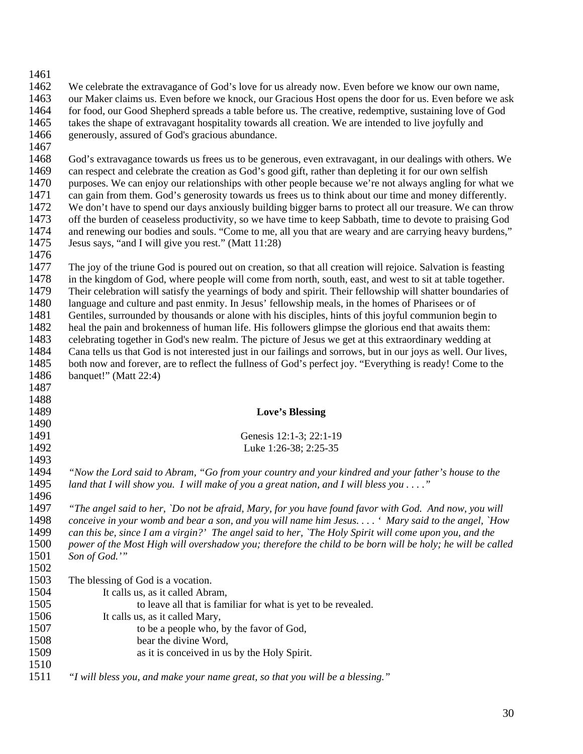| 1461 |                                                                                                                |
|------|----------------------------------------------------------------------------------------------------------------|
| 1462 | We celebrate the extravagance of God's love for us already now. Even before we know our own name,              |
| 1463 | our Maker claims us. Even before we knock, our Gracious Host opens the door for us. Even before we ask         |
| 1464 | for food, our Good Shepherd spreads a table before us. The creative, redemptive, sustaining love of God        |
| 1465 |                                                                                                                |
|      | takes the shape of extravagant hospitality towards all creation. We are intended to live joyfully and          |
| 1466 | generously, assured of God's gracious abundance.                                                               |
| 1467 |                                                                                                                |
| 1468 | God's extravagance towards us frees us to be generous, even extravagant, in our dealings with others. We       |
| 1469 | can respect and celebrate the creation as God's good gift, rather than depleting it for our own selfish        |
| 1470 | purposes. We can enjoy our relationships with other people because we're not always angling for what we        |
| 1471 | can gain from them. God's generosity towards us frees us to think about our time and money differently.        |
| 1472 | We don't have to spend our days anxiously building bigger barns to protect all our treasure. We can throw      |
| 1473 | off the burden of ceaseless productivity, so we have time to keep Sabbath, time to devote to praising God      |
| 1474 | and renewing our bodies and souls. "Come to me, all you that are weary and are carrying heavy burdens,"        |
| 1475 | Jesus says, "and I will give you rest." (Matt 11:28)                                                           |
| 1476 |                                                                                                                |
| 1477 | The joy of the triune God is poured out on creation, so that all creation will rejoice. Salvation is feasting  |
| 1478 | in the kingdom of God, where people will come from north, south, east, and west to sit at table together.      |
| 1479 | Their celebration will satisfy the yearnings of body and spirit. Their fellowship will shatter boundaries of   |
| 1480 | language and culture and past enmity. In Jesus' fellowship meals, in the homes of Pharisees or of              |
| 1481 | Gentiles, surrounded by thousands or alone with his disciples, hints of this joyful communion begin to         |
| 1482 | heal the pain and brokenness of human life. His followers glimpse the glorious end that awaits them:           |
| 1483 | celebrating together in God's new realm. The picture of Jesus we get at this extraordinary wedding at          |
| 1484 | Cana tells us that God is not interested just in our failings and sorrows, but in our joys as well. Our lives, |
| 1485 | both now and forever, are to reflect the fullness of God's perfect joy. "Everything is ready! Come to the      |
| 1486 | banquet!" (Matt 22:4)                                                                                          |
| 1487 |                                                                                                                |
| 1488 |                                                                                                                |
| 1489 |                                                                                                                |
| 1490 | <b>Love's Blessing</b>                                                                                         |
| 1491 |                                                                                                                |
|      | Genesis 12:1-3; 22:1-19                                                                                        |
| 1492 | Luke 1:26-38; 2:25-35                                                                                          |
| 1493 |                                                                                                                |
| 1494 | "Now the Lord said to Abram, "Go from your country and your kindred and your father's house to the             |
| 1495 | land that I will show you. I will make of you a great nation, and I will bless you $\dots$ ."                  |
| 1496 |                                                                                                                |
| 1497 | "The angel said to her, `Do not be afraid, Mary, for you have found favor with God. And now, you will          |
| 1498 | conceive in your womb and bear a son, and you will name him Jesus. ' Mary said to the angel, `How              |
| 1499 | can this be, since I am a virgin?' The angel said to her, `The Holy Spirit will come upon you, and the         |
| 1500 | power of the Most High will overshadow you; therefore the child to be born will be holy; he will be called     |
| 1501 | Son of God.""                                                                                                  |
| 1502 |                                                                                                                |
| 1503 | The blessing of God is a vocation.                                                                             |
| 1504 | It calls us, as it called Abram,                                                                               |
| 1505 | to leave all that is familiar for what is yet to be revealed.                                                  |
| 1506 | It calls us, as it called Mary,                                                                                |
| 1507 | to be a people who, by the favor of God,                                                                       |
| 1508 | bear the divine Word,                                                                                          |
| 1509 | as it is conceived in us by the Holy Spirit.                                                                   |
| 1510 |                                                                                                                |
| 1511 | "I will bless you, and make your name great, so that you will be a blessing."                                  |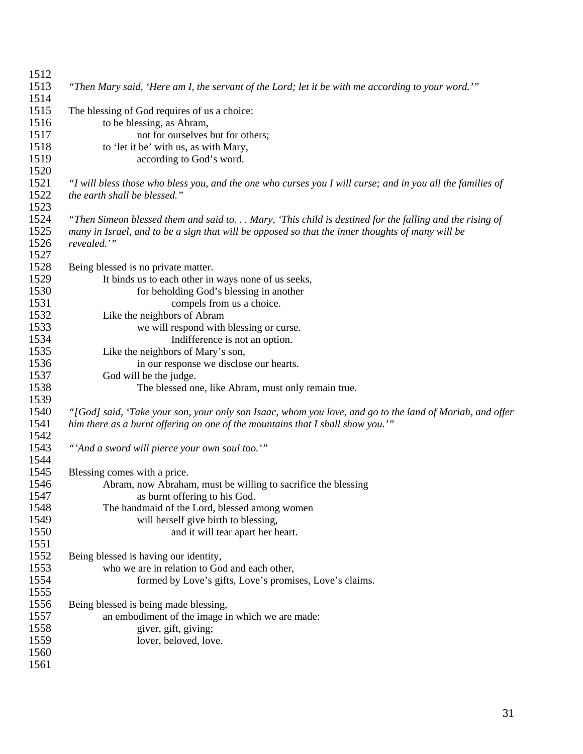| 1512 |                                                                                                            |
|------|------------------------------------------------------------------------------------------------------------|
| 1513 | "Then Mary said, 'Here am I, the servant of the Lord; let it be with me according to your word.""          |
| 1514 |                                                                                                            |
| 1515 | The blessing of God requires of us a choice:                                                               |
| 1516 | to be blessing, as Abram,                                                                                  |
| 1517 | not for ourselves but for others;                                                                          |
| 1518 | to 'let it be' with us, as with Mary,                                                                      |
| 1519 | according to God's word.                                                                                   |
| 1520 |                                                                                                            |
| 1521 | "I will bless those who bless you, and the one who curses you I will curse; and in you all the families of |
| 1522 | the earth shall be blessed."                                                                               |
| 1523 |                                                                                                            |
|      |                                                                                                            |
| 1524 | "Then Simeon blessed them and said to Mary, 'This child is destined for the falling and the rising of      |
| 1525 | many in Israel, and to be a sign that will be opposed so that the inner thoughts of many will be           |
| 1526 | revealed."                                                                                                 |
| 1527 |                                                                                                            |
| 1528 | Being blessed is no private matter.                                                                        |
| 1529 | It binds us to each other in ways none of us seeks,                                                        |
| 1530 | for beholding God's blessing in another                                                                    |
| 1531 | compels from us a choice.                                                                                  |
| 1532 | Like the neighbors of Abram                                                                                |
| 1533 | we will respond with blessing or curse.                                                                    |
| 1534 | Indifference is not an option.                                                                             |
| 1535 | Like the neighbors of Mary's son,                                                                          |
| 1536 | in our response we disclose our hearts.                                                                    |
| 1537 | God will be the judge.                                                                                     |
| 1538 | The blessed one, like Abram, must only remain true.                                                        |
| 1539 |                                                                                                            |
| 1540 | "[God] said, 'Take your son, your only son Isaac, whom you love, and go to the land of Moriah, and offer   |
| 1541 | him there as a burnt offering on one of the mountains that I shall show you."                              |
| 1542 |                                                                                                            |
| 1543 | "'And a sword will pierce your own soul too.'"                                                             |
| 1544 |                                                                                                            |
| 1545 | Blessing comes with a price.                                                                               |
| 1546 | Abram, now Abraham, must be willing to sacrifice the blessing                                              |
| 1547 | as burnt offering to his God.                                                                              |
| 1548 | The handmaid of the Lord, blessed among women                                                              |
| 1549 | will herself give birth to blessing,                                                                       |
| 1550 | and it will tear apart her heart.                                                                          |
| 1551 |                                                                                                            |
| 1552 | Being blessed is having our identity,                                                                      |
| 1553 | who we are in relation to God and each other,                                                              |
|      |                                                                                                            |
| 1554 | formed by Love's gifts, Love's promises, Love's claims.                                                    |
| 1555 |                                                                                                            |
| 1556 | Being blessed is being made blessing,                                                                      |
| 1557 | an embodiment of the image in which we are made:                                                           |
| 1558 | giver, gift, giving;                                                                                       |
| 1559 | lover, beloved, love.                                                                                      |
| 1560 |                                                                                                            |
| 1561 |                                                                                                            |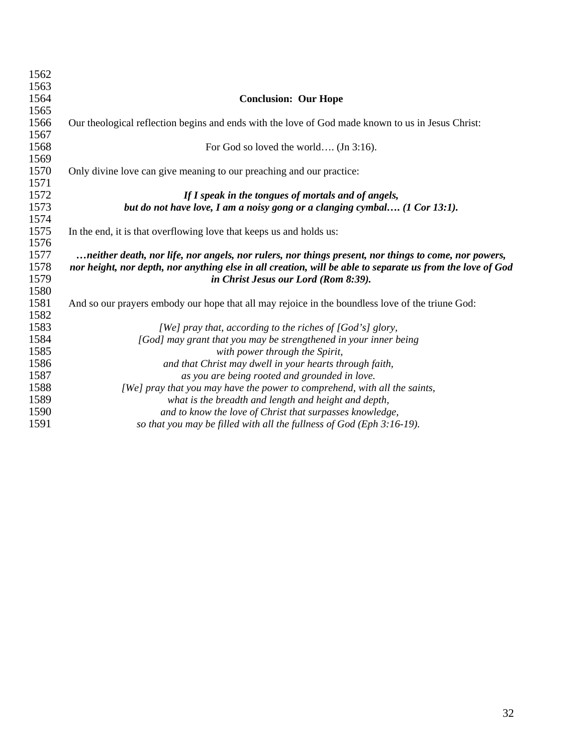| 1562 |                                                                                                            |
|------|------------------------------------------------------------------------------------------------------------|
| 1563 |                                                                                                            |
| 1564 | <b>Conclusion: Our Hope</b>                                                                                |
| 1565 |                                                                                                            |
| 1566 | Our theological reflection begins and ends with the love of God made known to us in Jesus Christ:          |
| 1567 |                                                                                                            |
| 1568 | For God so loved the world (Jn 3:16).                                                                      |
| 1569 |                                                                                                            |
| 1570 | Only divine love can give meaning to our preaching and our practice:                                       |
| 1571 |                                                                                                            |
| 1572 | If I speak in the tongues of mortals and of angels,                                                        |
| 1573 | but do not have love, I am a noisy gong or a clanging cymbal (1 Cor 13:1).                                 |
| 1574 |                                                                                                            |
| 1575 | In the end, it is that overflowing love that keeps us and holds us:                                        |
| 1576 |                                                                                                            |
| 1577 | neither death, nor life, nor angels, nor rulers, nor things present, nor things to come, nor powers,       |
| 1578 | nor height, nor depth, nor anything else in all creation, will be able to separate us from the love of God |
| 1579 | in Christ Jesus our Lord (Rom 8:39).                                                                       |
| 1580 |                                                                                                            |
| 1581 | And so our prayers embody our hope that all may rejoice in the boundless love of the triune God:           |
| 1582 |                                                                                                            |
| 1583 | [We] pray that, according to the riches of [God's] glory,                                                  |
| 1584 | [God] may grant that you may be strengthened in your inner being                                           |
| 1585 | with power through the Spirit,                                                                             |
| 1586 | and that Christ may dwell in your hearts through faith,                                                    |
| 1587 | as you are being rooted and grounded in love.                                                              |
| 1588 | [We] pray that you may have the power to comprehend, with all the saints,                                  |
| 1589 | what is the breadth and length and height and depth,                                                       |
| 1590 | and to know the love of Christ that surpasses knowledge,                                                   |
| 1591 | so that you may be filled with all the fullness of God (Eph 3:16-19).                                      |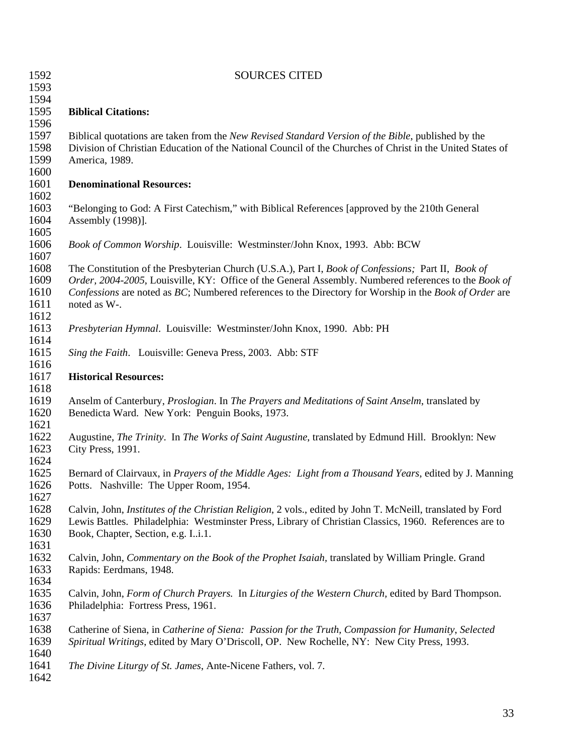| 1592                         | <b>SOURCES CITED</b>                                                                                                                                                                                                                                                                                                  |
|------------------------------|-----------------------------------------------------------------------------------------------------------------------------------------------------------------------------------------------------------------------------------------------------------------------------------------------------------------------|
| 1593                         |                                                                                                                                                                                                                                                                                                                       |
| 1594                         |                                                                                                                                                                                                                                                                                                                       |
| 1595                         | <b>Biblical Citations:</b>                                                                                                                                                                                                                                                                                            |
| 1596                         |                                                                                                                                                                                                                                                                                                                       |
| 1597<br>1598                 | Biblical quotations are taken from the New Revised Standard Version of the Bible, published by the<br>Division of Christian Education of the National Council of the Churches of Christ in the United States of                                                                                                       |
| 1599<br>1600                 | America, 1989.                                                                                                                                                                                                                                                                                                        |
| 1601<br>1602                 | <b>Denominational Resources:</b>                                                                                                                                                                                                                                                                                      |
| 1603<br>1604<br>1605         | "Belonging to God: A First Catechism," with Biblical References [approved by the 210th General<br>Assembly (1998)].                                                                                                                                                                                                   |
| 1606<br>1607                 | Book of Common Worship. Louisville: Westminster/John Knox, 1993. Abb: BCW                                                                                                                                                                                                                                             |
| 1608<br>1609<br>1610         | The Constitution of the Presbyterian Church (U.S.A.), Part I, Book of Confessions; Part II, Book of<br>Order, 2004-2005, Louisville, KY: Office of the General Assembly. Numbered references to the Book of<br>Confessions are noted as BC; Numbered references to the Directory for Worship in the Book of Order are |
| 1611<br>1612                 | noted as W-.                                                                                                                                                                                                                                                                                                          |
| 1613<br>1614                 | Presbyterian Hymnal. Louisville: Westminster/John Knox, 1990. Abb: PH                                                                                                                                                                                                                                                 |
| 1615<br>1616                 | Sing the Faith. Louisville: Geneva Press, 2003. Abb: STF                                                                                                                                                                                                                                                              |
| 1617<br>1618                 | <b>Historical Resources:</b>                                                                                                                                                                                                                                                                                          |
| 1619<br>1620<br>1621         | Anselm of Canterbury, Proslogian. In The Prayers and Meditations of Saint Anselm, translated by<br>Benedicta Ward. New York: Penguin Books, 1973.                                                                                                                                                                     |
| 1622<br>1623<br>1624         | Augustine, <i>The Trinity</i> . In <i>The Works of Saint Augustine</i> , translated by Edmund Hill. Brooklyn: New<br>City Press, 1991.                                                                                                                                                                                |
| 1625<br>1626<br>1627         | Bernard of Clairvaux, in <i>Prayers of the Middle Ages: Light from a Thousand Years</i> , edited by J. Manning<br>Potts. Nashville: The Upper Room, 1954.                                                                                                                                                             |
| 1628<br>1629<br>1630<br>1631 | Calvin, John, Institutes of the Christian Religion, 2 vols., edited by John T. McNeill, translated by Ford<br>Lewis Battles. Philadelphia: Westminster Press, Library of Christian Classics, 1960. References are to<br>Book, Chapter, Section, e.g. Ii.1.                                                            |
| 1632<br>1633<br>1634         | Calvin, John, Commentary on the Book of the Prophet Isaiah, translated by William Pringle. Grand<br>Rapids: Eerdmans, 1948.                                                                                                                                                                                           |
| 1635<br>1636<br>1637         | Calvin, John, Form of Church Prayers. In Liturgies of the Western Church, edited by Bard Thompson.<br>Philadelphia: Fortress Press, 1961.                                                                                                                                                                             |
| 1638<br>1639<br>1640         | Catherine of Siena, in Catherine of Siena: Passion for the Truth, Compassion for Humanity, Selected<br>Spiritual Writings, edited by Mary O'Driscoll, OP. New Rochelle, NY: New City Press, 1993.                                                                                                                     |
| 1641<br>1642                 | The Divine Liturgy of St. James, Ante-Nicene Fathers, vol. 7.                                                                                                                                                                                                                                                         |